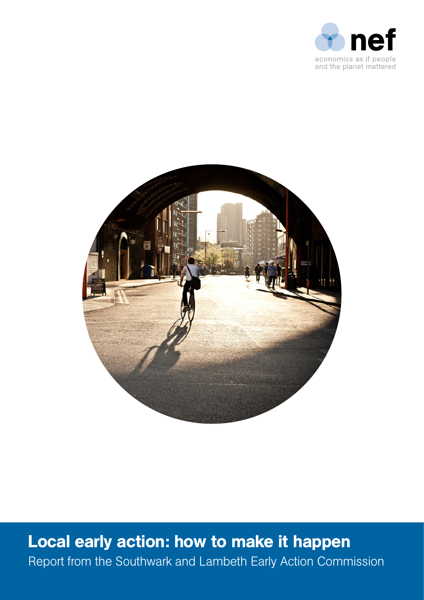



Local early action: how to make it happen Report from the Southwark and Lambeth Early Action Commission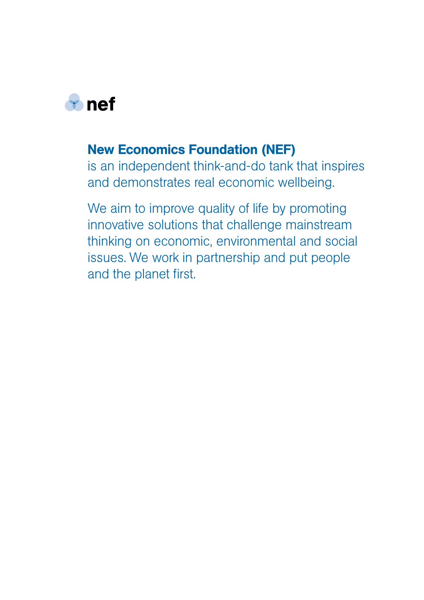

# New Economics Foundation (NEF)

is an independent think-and-do tank that inspires and demonstrates real economic wellbeing.

We aim to improve quality of life by promoting innovative solutions that challenge mainstream thinking on economic, environmental and social issues. We work in partnership and put people and the planet first.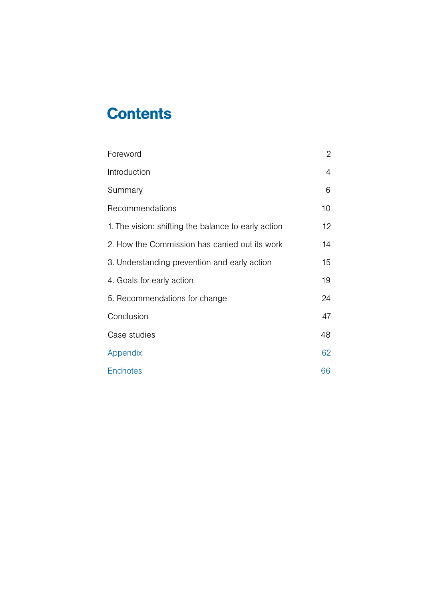# **Contents**

| Foreword                                            | $\overline{2}$ |
|-----------------------------------------------------|----------------|
| Introduction                                        | $\overline{4}$ |
| Summary                                             | 6              |
| Recommendations                                     | 10             |
| 1. The vision: shifting the balance to early action | 12             |
| 2. How the Commission has carried out its work      | 14             |
| 3. Understanding prevention and early action        | 15             |
| 4. Goals for early action                           | 19             |
| 5. Recommendations for change                       | 24             |
| Conclusion                                          | 47             |
| Case studies                                        | 48             |
| Appendix                                            | 62             |
| <b>Endnotes</b>                                     | 66             |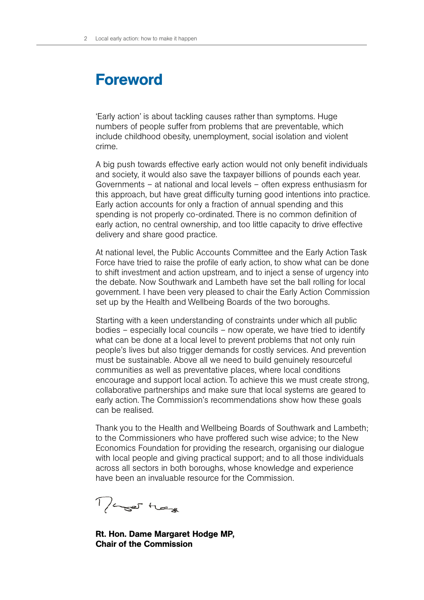# Foreword

'Early action' is about tackling causes rather than symptoms. Huge numbers of people suffer from problems that are preventable, which include childhood obesity, unemployment, social isolation and violent crime.

A big push towards effective early action would not only benefit individuals and society, it would also save the taxpayer billions of pounds each year. Governments – at national and local levels – often express enthusiasm for this approach, but have great difficulty turning good intentions into practice. Early action accounts for only a fraction of annual spending and this spending is not properly co-ordinated. There is no common definition of early action, no central ownership, and too little capacity to drive effective delivery and share good practice.

At national level, the Public Accounts Committee and the Early Action Task Force have tried to raise the profile of early action, to show what can be done to shift investment and action upstream, and to inject a sense of urgency into the debate. Now Southwark and Lambeth have set the ball rolling for local government. I have been very pleased to chair the Early Action Commission set up by the Health and Wellbeing Boards of the two boroughs.

Starting with a keen understanding of constraints under which all public bodies – especially local councils – now operate, we have tried to identify what can be done at a local level to prevent problems that not only ruin people's lives but also trigger demands for costly services. And prevention must be sustainable. Above all we need to build genuinely resourceful communities as well as preventative places, where local conditions encourage and support local action. To achieve this we must create strong, collaborative partnerships and make sure that local systems are geared to early action. The Commission's recommendations show how these goals can be realised.

Thank you to the Health and Wellbeing Boards of Southwark and Lambeth; to the Commissioners who have proffered such wise advice; to the New Economics Foundation for providing the research, organising our dialogue with local people and giving practical support; and to all those individuals across all sectors in both boroughs, whose knowledge and experience have been an invaluable resource for the Commission.

Mager Hege

Rt. Hon. Dame Margaret Hodge MP, Chair of the Commission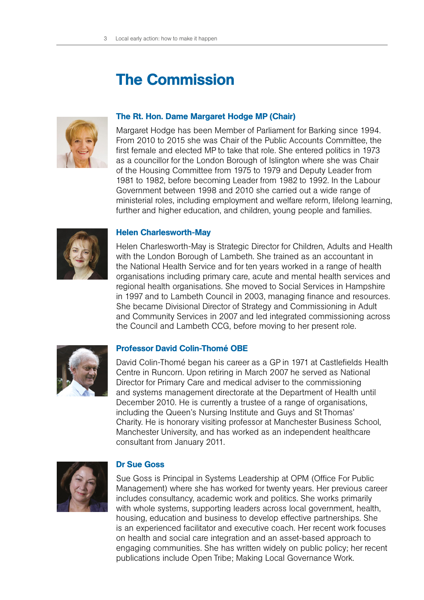# The Commission



### The Rt. Hon. Dame Margaret Hodge MP (Chair)

Margaret Hodge has been Member of Parliament for Barking since 1994. From 2010 to 2015 she was Chair of the Public Accounts Committee, the first female and elected MP to take that role. She entered politics in 1973 as a councillor for the London Borough of Islington where she was Chair of the Housing Committee from 1975 to 1979 and Deputy Leader from 1981 to 1982, before becoming Leader from 1982 to 1992. In the Labour Government between 1998 and 2010 she carried out a wide range of ministerial roles, including employment and welfare reform, lifelong learning, further and higher education, and children, young people and families.



#### Helen Charlesworth-May

Helen Charlesworth-May is Strategic Director for Children, Adults and Health with the London Borough of Lambeth. She trained as an accountant in the National Health Service and for ten years worked in a range of health organisations including primary care, acute and mental health services and regional health organisations. She moved to Social Services in Hampshire in 1997 and to Lambeth Council in 2003, managing finance and resources. She became Divisional Director of Strategy and Commissioning in Adult and Community Services in 2007 and led integrated commissioning across the Council and Lambeth CCG, before moving to her present role.



## Professor David Colin-Thomé OBE

David Colin-Thomé began his career as a GP in 1971 at Castlefields Health Centre in Runcorn. Upon retiring in March 2007 he served as National Director for Primary Care and medical adviser to the commissioning and systems management directorate at the Department of Health until December 2010. He is currently a trustee of a range of organisations, including the Queen's Nursing Institute and Guys and St Thomas' Charity. He is honorary visiting professor at Manchester Business School, Manchester University, and has worked as an independent healthcare consultant from January 2011.



#### Dr Sue Goss

Sue Goss is Principal in Systems Leadership at OPM (Office For Public Management) where she has worked for twenty years. Her previous career includes consultancy, academic work and politics. She works primarily with whole systems, supporting leaders across local government, health, housing, education and business to develop effective partnerships. She is an experienced facilitator and executive coach. Her recent work focuses on health and social care integration and an asset-based approach to engaging communities. She has written widely on public policy; her recent publications include Open Tribe; Making Local Governance Work.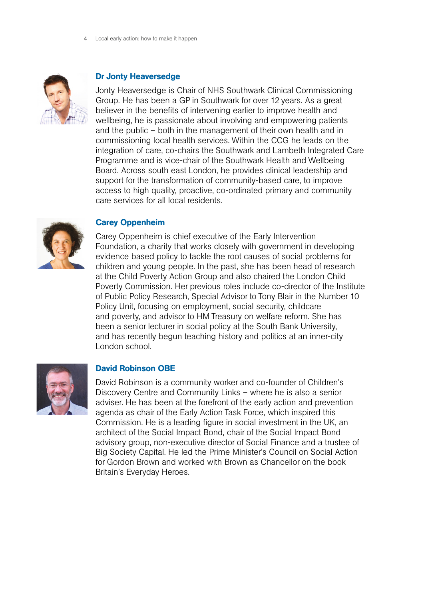

### Dr Jonty Heaversedge

Jonty Heaversedge is Chair of NHS Southwark Clinical Commissioning Group. He has been a GP in Southwark for over 12 years. As a great believer in the benefits of intervening earlier to improve health and wellbeing, he is passionate about involving and empowering patients and the public – both in the management of their own health and in commissioning local health services. Within the CCG he leads on the integration of care, co-chairs the Southwark and Lambeth Integrated Care Programme and is vice-chair of the Southwark Health and Wellbeing Board. Across south east London, he provides clinical leadership and support for the transformation of community-based care, to improve access to high quality, proactive, co-ordinated primary and community care services for all local residents.



# Carey Oppenheim

Carey Oppenheim is chief executive of the Early Intervention Foundation, a charity that works closely with government in developing evidence based policy to tackle the root causes of social problems for children and young people. In the past, she has been head of research at the Child Poverty Action Group and also chaired the London Child Poverty Commission. Her previous roles include co-director of the Institute of Public Policy Research, Special Advisor to Tony Blair in the Number 10 Policy Unit, focusing on employment, social security, childcare and poverty, and advisor to HM Treasury on welfare reform. She has been a senior lecturer in social policy at the South Bank University, and has recently begun teaching history and politics at an inner-city London school.



# David Robinson OBE

David Robinson is a community worker and co-founder of Children's Discovery Centre and Community Links – where he is also a senior adviser. He has been at the forefront of the early action and prevention agenda as chair of the Early Action Task Force, which inspired this Commission. He is a leading figure in social investment in the UK, an architect of the Social Impact Bond, chair of the Social Impact Bond advisory group, non-executive director of Social Finance and a trustee of Big Society Capital. He led the Prime Minister's Council on Social Action for Gordon Brown and worked with Brown as Chancellor on the book Britain's Everyday Heroes.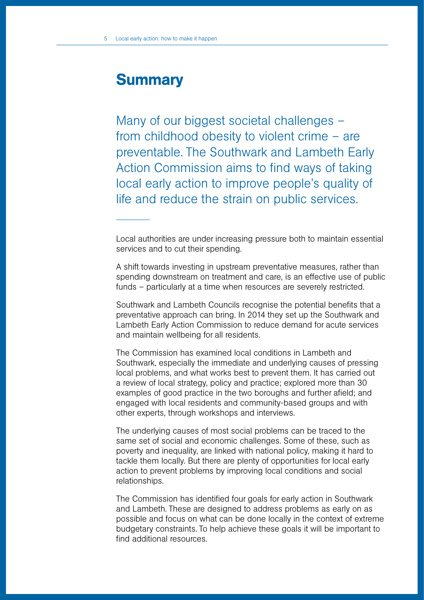# **Summary**

Many of our biggest societal challenges – from childhood obesity to violent crime – are preventable. The Southwark and Lambeth Early Action Commission aims to find ways of taking local early action to improve people's quality of life and reduce the strain on public services.

Local authorities are under increasing pressure both to maintain essential services and to cut their spending.

A shift towards investing in upstream preventative measures, rather than spending downstream on treatment and care, is an effective use of public funds – particularly at a time when resources are severely restricted.

Southwark and Lambeth Councils recognise the potential benefits that a preventative approach can bring. In 2014 they set up the Southwark and Lambeth Early Action Commission to reduce demand for acute services and maintain wellbeing for all residents.

The Commission has examined local conditions in Lambeth and Southwark, especially the immediate and underlying causes of pressing local problems, and what works best to prevent them. It has carried out a review of local strategy, policy and practice; explored more than 30 examples of good practice in the two boroughs and further afield; and engaged with local residents and community-based groups and with other experts, through workshops and interviews.

The underlying causes of most social problems can be traced to the same set of social and economic challenges. Some of these, such as poverty and inequality, are linked with national policy, making it hard to tackle them locally. But there are plenty of opportunities for local early action to prevent problems by improving local conditions and social relationships.

The Commission has identified four goals for early action in Southwark and Lambeth. These are designed to address problems as early on as possible and focus on what can be done locally in the context of extreme budgetary constraints. To help achieve these goals it will be important to find additional resources.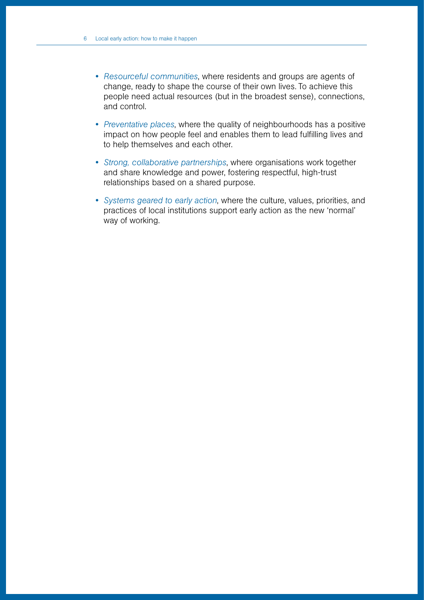• *Resourceful communities*, where residents and groups are agents of change, ready to shape the course of their own lives. To achieve this people need actual resources (but in the broadest sense), connections, and control.

Local Early Action: how to make it happen

- *Preventative places*, where the quality of neighbourhoods has a positive impact on how people feel and enables them to lead fulfilling lives and to help themselves and each other.
- *Strong, collaborative partnerships*, where organisations work together and share knowledge and power, fostering respectful, high-trust relationships based on a shared purpose.
- *Systems geared to early action*, where the culture, values, priorities, and practices of local institutions support early action as the new 'normal' way of working.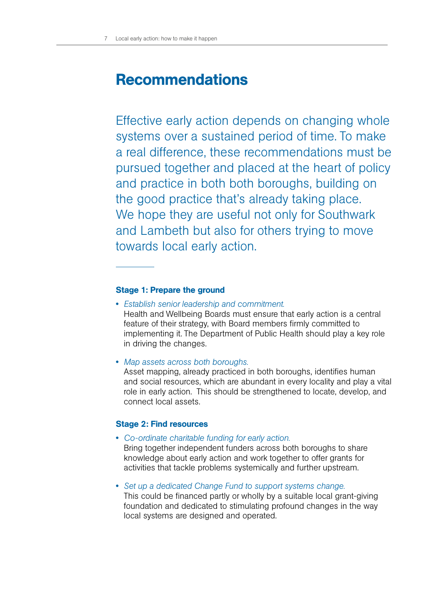# Recommendations

Effective early action depends on changing whole systems over a sustained period of time. To make a real difference, these recommendations must be pursued together and placed at the heart of policy and practice in both both boroughs, building on the good practice that's already taking place. We hope they are useful not only for Southwark and Lambeth but also for others trying to move towards local early action.

# Stage 1: Prepare the ground

• *Establish senior leadership and commitment.* 

Health and Wellbeing Boards must ensure that early action is a central feature of their strategy, with Board members firmly committed to implementing it. The Department of Public Health should play a key role in driving the changes.

• *Map assets across both boroughs.* 

Asset mapping, already practiced in both boroughs, identifies human and social resources, which are abundant in every locality and play a vital role in early action. This should be strengthened to locate, develop, and connect local assets.

# Stage 2: Find resources

• *Co-ordinate charitable funding for early action.* 

Bring together independent funders across both boroughs to share knowledge about early action and work together to offer grants for activities that tackle problems systemically and further upstream.

• *Set up a dedicated Change Fund to support systems change.*  This could be financed partly or wholly by a suitable local grant-giving foundation and dedicated to stimulating profound changes in the way local systems are designed and operated.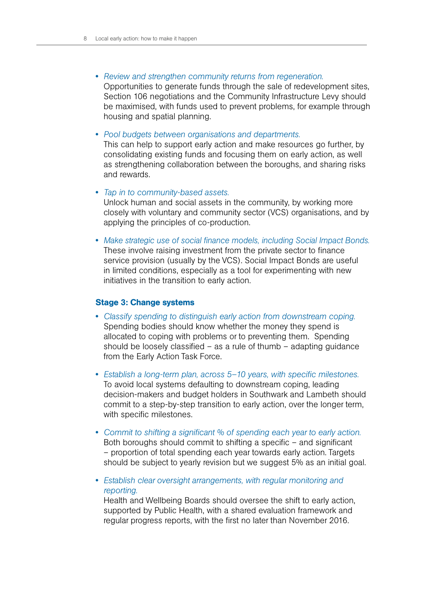- *Review and strengthen community returns from regeneration.*  Opportunities to generate funds through the sale of redevelopment sites, Section 106 negotiations and the Community Infrastructure Levy should be maximised, with funds used to prevent problems, for example through housing and spatial planning.
- *Pool budgets between organisations and departments.*

This can help to support early action and make resources go further, by consolidating existing funds and focusing them on early action, as well as strengthening collaboration between the boroughs, and sharing risks and rewards.

- *Tap in to community-based assets.*  Unlock human and social assets in the community, by working more closely with voluntary and community sector (VCS) organisations, and by applying the principles of co-production.
- *Make strategic use of social finance models, including Social Impact Bonds.*  These involve raising investment from the private sector to finance service provision (usually by the VCS). Social Impact Bonds are useful in limited conditions, especially as a tool for experimenting with new initiatives in the transition to early action.

### Stage 3: Change systems

- *Classify spending to distinguish early action from downstream coping.*  Spending bodies should know whether the money they spend is allocated to coping with problems or to preventing them. Spending should be loosely classified  $-$  as a rule of thumb  $-$  adapting guidance from the Early Action Task Force.
- *Establish a long-term plan, across 5–10 years, with specific milestones.*  To avoid local systems defaulting to downstream coping, leading decision-makers and budget holders in Southwark and Lambeth should commit to a step-by-step transition to early action, over the longer term, with specific milestones.
- *Commit to shifting a significant % of spending each year to early action.*  Both boroughs should commit to shifting a specific – and significant – proportion of total spending each year towards early action. Targets should be subject to yearly revision but we suggest 5% as an initial goal.
- *Establish clear oversight arrangements, with regular monitoring and reporting.*

Health and Wellbeing Boards should oversee the shift to early action, supported by Public Health, with a shared evaluation framework and regular progress reports, with the first no later than November 2016.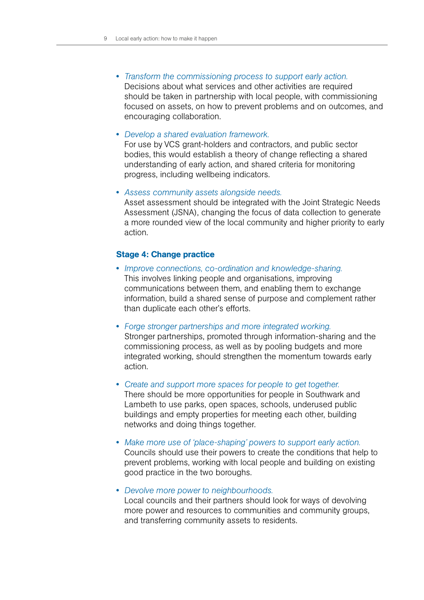• *Transform the commissioning process to support early action.* 

Decisions about what services and other activities are required should be taken in partnership with local people, with commissioning focused on assets, on how to prevent problems and on outcomes, and encouraging collaboration.

• *Develop a shared evaluation framework.* 

For use by VCS grant-holders and contractors, and public sector bodies, this would establish a theory of change reflecting a shared understanding of early action, and shared criteria for monitoring progress, including wellbeing indicators.

• *Assess community assets alongside needs.* 

Asset assessment should be integrated with the Joint Strategic Needs Assessment (JSNA), changing the focus of data collection to generate a more rounded view of the local community and higher priority to early action.

#### Stage 4: Change practice

- *Improve connections, co-ordination and knowledge-sharing.*  This involves linking people and organisations, improving communications between them, and enabling them to exchange information, build a shared sense of purpose and complement rather than duplicate each other's efforts.
- *Forge stronger partnerships and more integrated working.*  Stronger partnerships, promoted through information-sharing and the commissioning process, as well as by pooling budgets and more integrated working, should strengthen the momentum towards early action.
- *Create and support more spaces for people to get together.*  There should be more opportunities for people in Southwark and Lambeth to use parks, open spaces, schools, underused public buildings and empty properties for meeting each other, building networks and doing things together.
- *Make more use of 'place-shaping' powers to support early action.* Councils should use their powers to create the conditions that help to prevent problems, working with local people and building on existing good practice in the two boroughs.
- *Devolve more power to neighbourhoods.*  Local councils and their partners should look for ways of devolving more power and resources to communities and community groups, and transferring community assets to residents.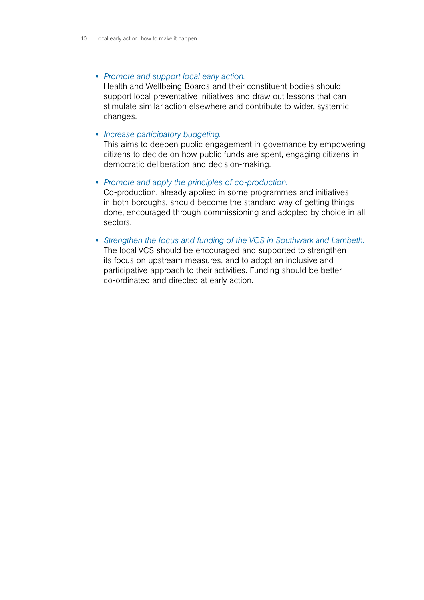• *Promote and support local early action.*

Health and Wellbeing Boards and their constituent bodies should support local preventative initiatives and draw out lessons that can stimulate similar action elsewhere and contribute to wider, systemic changes.

#### • *Increase participatory budgeting.*

This aims to deepen public engagement in governance by empowering citizens to decide on how public funds are spent, engaging citizens in democratic deliberation and decision-making.

• *Promote and apply the principles of co-production.* 

Co-production, already applied in some programmes and initiatives in both boroughs, should become the standard way of getting things done, encouraged through commissioning and adopted by choice in all sectors.

• *Strengthen the focus and funding of the VCS in Southwark and Lambeth.* The local VCS should be encouraged and supported to strengthen its focus on upstream measures, and to adopt an inclusive and participative approach to their activities. Funding should be better co-ordinated and directed at early action.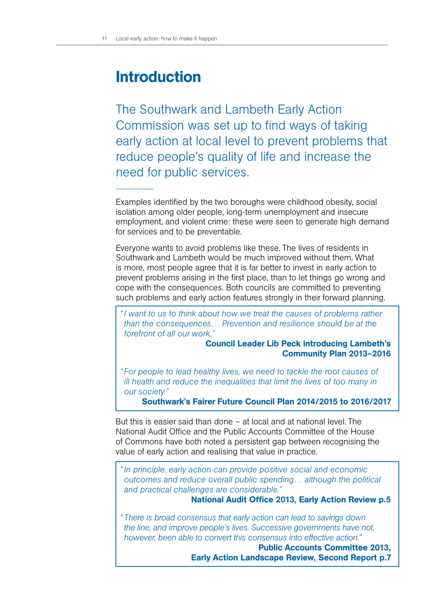# Introduction

The Southwark and Lambeth Early Action Commission was set up to find ways of taking early action at local level to prevent problems that reduce people's quality of life and increase the need for public services.

Examples identified by the two boroughs were childhood obesity, social isolation among older people, long-term unemployment and insecure employment, and violent crime: these were seen to generate high demand for services and to be preventable.

Everyone wants to avoid problems like these. The lives of residents in Southwark and Lambeth would be much improved without them. What is more, most people agree that it is far better to invest in early action to prevent problems arising in the first place, than to let things go wrong and cope with the consequences. Both councils are committed to preventing such problems and early action features strongly in their forward planning.

*"I want to us to think about how we treat the causes of problems rather than the consequences… Prevention and resilience should be at the forefront of all our work."* 

# Council Leader Lib Peck introducing Lambeth's Community Plan 2013–2016

*" For people to lead healthy lives, we need to tackle the root causes of ill health and reduce the inequalities that limit the lives of too many in our society."* 

Southwark's Fairer Future Council Plan 2014/2015 to 2016/2017

But this is easier said than done – at local and at national level. The National Audit Office and the Public Accounts Committee of the House of Commons have both noted a persistent gap between recognising the value of early action and realising that value in practice.

*"In principle, early action can provide positive social and economic outcomes and reduce overall public spending… although the political and practical challenges are considerable."* 

National Audit Office 2013, Early Action Review p.5

*" There is broad consensus that early action can lead to savings down the line, and improve people's lives. Successive governments have not, however, been able to convert this consensus into effective action."* 

> Public Accounts Committee 2013, Early Action Landscape Review, Second Report p.7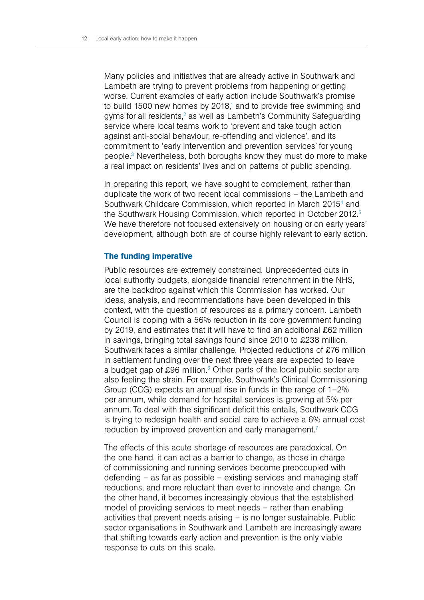Many policies and initiatives that are already active in Southwark and Lambeth are trying to prevent problems from happening or getting worse. Current examples of early action include Southwark's promise to build 1500 new homes by 2018,<sup>1</sup> and to provide free swimming and gyms for all residents,<sup>2</sup> as well as Lambeth's Community Safeguarding service where local teams work to 'prevent and take tough action against anti-social behaviour, re-offending and violence', and its commitment to 'early intervention and prevention services' for young people.3 Nevertheless, both boroughs know they must do more to make a real impact on residents' lives and on patterns of public spending.

In preparing this report, we have sought to complement, rather than duplicate the work of two recent local commissions – the Lambeth and Southwark Childcare Commission, which reported in March 2015<sup>4</sup> and the Southwark Housing Commission, which reported in October 2012.<sup>5</sup> We have therefore not focused extensively on housing or on early years' development, although both are of course highly relevant to early action.

# The funding imperative

Public resources are extremely constrained. Unprecedented cuts in local authority budgets, alongside financial retrenchment in the NHS, are the backdrop against which this Commission has worked. Our ideas, analysis, and recommendations have been developed in this context, with the question of resources as a primary concern. Lambeth Council is coping with a 56% reduction in its core government funding by 2019, and estimates that it will have to find an additional £62 million in savings, bringing total savings found since 2010 to £238 million. Southwark faces a similar challenge. Projected reductions of £76 million in settlement funding over the next three years are expected to leave a budget gap of £96 million. $6$  Other parts of the local public sector are also feeling the strain. For example, Southwark's Clinical Commissioning Group (CCG) expects an annual rise in funds in the range of 1–2% per annum, while demand for hospital services is growing at 5% per annum. To deal with the significant deficit this entails, Southwark CCG is trying to redesign health and social care to achieve a 6% annual cost reduction by improved prevention and early management.<sup>7</sup>

The effects of this acute shortage of resources are paradoxical. On the one hand, it can act as a barrier to change, as those in charge of commissioning and running services become preoccupied with defending – as far as possible – existing services and managing staff reductions, and more reluctant than ever to innovate and change. On the other hand, it becomes increasingly obvious that the established model of providing services to meet needs – rather than enabling activities that prevent needs arising – is no longer sustainable. Public sector organisations in Southwark and Lambeth are increasingly aware that shifting towards early action and prevention is the only viable response to cuts on this scale.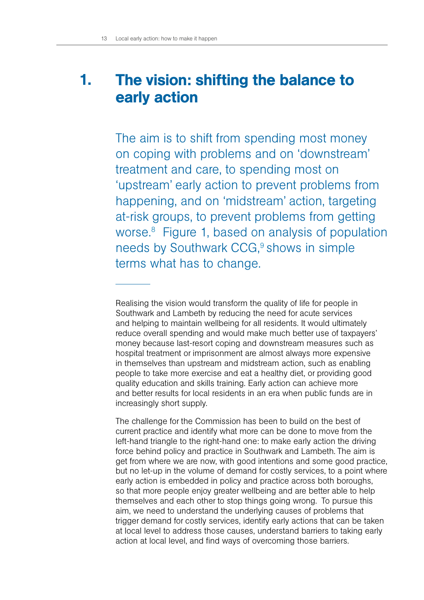# The vision: shifting the balance to early action 1.

The aim is to shift from spending most money on coping with problems and on 'downstream' treatment and care, to spending most on 'upstream' early action to prevent problems from happening, and on 'midstream' action, targeting at-risk groups, to prevent problems from getting worse.8 Figure 1, based on analysis of population needs by Southwark CCG,<sup>9</sup> shows in simple terms what has to change.

Realising the vision would transform the quality of life for people in Southwark and Lambeth by reducing the need for acute services and helping to maintain wellbeing for all residents. It would ultimately reduce overall spending and would make much better use of taxpayers' money because last-resort coping and downstream measures such as hospital treatment or imprisonment are almost always more expensive in themselves than upstream and midstream action, such as enabling people to take more exercise and eat a healthy diet, or providing good quality education and skills training. Early action can achieve more and better results for local residents in an era when public funds are in increasingly short supply.

The challenge for the Commission has been to build on the best of current practice and identify what more can be done to move from the left-hand triangle to the right-hand one: to make early action the driving force behind policy and practice in Southwark and Lambeth. The aim is get from where we are now, with good intentions and some good practice, but no let-up in the volume of demand for costly services, to a point where early action is embedded in policy and practice across both boroughs, so that more people enjoy greater wellbeing and are better able to help themselves and each other to stop things going wrong. To pursue this aim, we need to understand the underlying causes of problems that trigger demand for costly services, identify early actions that can be taken at local level to address those causes, understand barriers to taking early action at local level, and find ways of overcoming those barriers.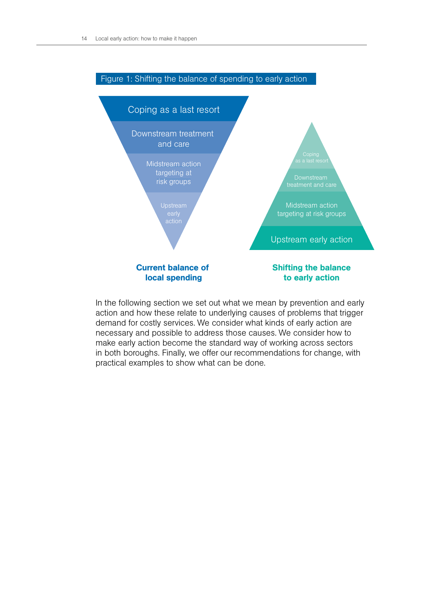

# In the following section we set out what we mean by prevention and early action and how these relate to underlying causes of problems that trigger demand for costly services. We consider what kinds of early action are necessary and possible to address those causes. We consider how to make early action become the standard way of working across sectors in both boroughs. Finally, we offer our recommendations for change, with practical examples to show what can be done.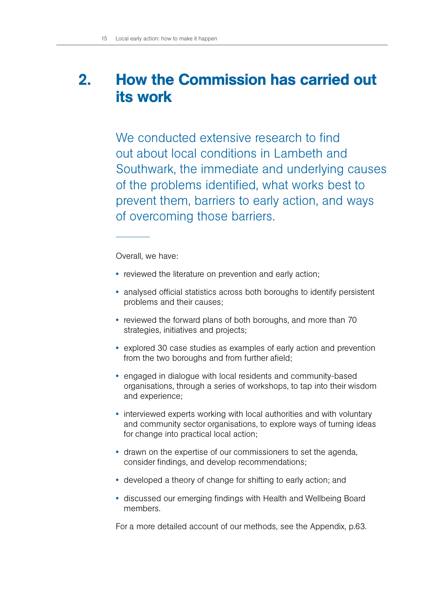# How the Commission has carried out its work 2.

We conducted extensive research to find out about local conditions in Lambeth and Southwark, the immediate and underlying causes of the problems identified, what works best to prevent them, barriers to early action, and ways of overcoming those barriers.

Overall, we have:

- reviewed the literature on prevention and early action;
- analysed official statistics across both boroughs to identify persistent problems and their causes;
- reviewed the forward plans of both boroughs, and more than 70 strategies, initiatives and projects;
- explored 30 case studies as examples of early action and prevention from the two boroughs and from further afield;
- engaged in dialogue with local residents and community-based organisations, through a series of workshops, to tap into their wisdom and experience;
- interviewed experts working with local authorities and with voluntary and community sector organisations, to explore ways of turning ideas for change into practical local action;
- drawn on the expertise of our commissioners to set the agenda, consider findings, and develop recommendations;
- developed a theory of change for shifting to early action; and
- discussed our emerging findings with Health and Wellbeing Board members.

For a more detailed account of our methods, see the Appendix, p.63.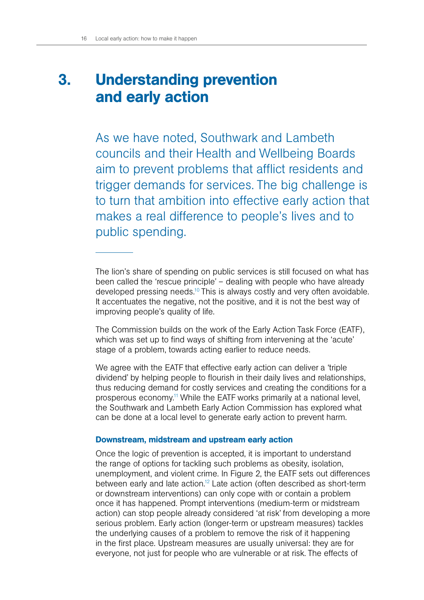# Understanding prevention and early action 3.

As we have noted, Southwark and Lambeth councils and their Health and Wellbeing Boards aim to prevent problems that afflict residents and trigger demands for services. The big challenge is to turn that ambition into effective early action that makes a real difference to people's lives and to public spending.

The lion's share of spending on public services is still focused on what has been called the 'rescue principle' – dealing with people who have already developed pressing needs.10 This is always costly and very often avoidable. It accentuates the negative, not the positive, and it is not the best way of improving people's quality of life.

The Commission builds on the work of the Early Action Task Force (EATF), which was set up to find ways of shifting from intervening at the 'acute' stage of a problem, towards acting earlier to reduce needs.

We agree with the EATF that effective early action can deliver a 'triple dividend' by helping people to flourish in their daily lives and relationships, thus reducing demand for costly services and creating the conditions for a prosperous economy.11 While the EATF works primarily at a national level, the Southwark and Lambeth Early Action Commission has explored what can be done at a local level to generate early action to prevent harm.

# Downstream, midstream and upstream early action

Once the logic of prevention is accepted, it is important to understand the range of options for tackling such problems as obesity, isolation, unemployment, and violent crime. In Figure 2, the EATF sets out differences between early and late action.<sup>12</sup> Late action (often described as short-term or downstream interventions) can only cope with or contain a problem once it has happened. Prompt interventions (medium-term or midstream action) can stop people already considered 'at risk' from developing a more serious problem. Early action (longer-term or upstream measures) tackles the underlying causes of a problem to remove the risk of it happening in the first place. Upstream measures are usually universal: they are for everyone, not just for people who are vulnerable or at risk. The effects of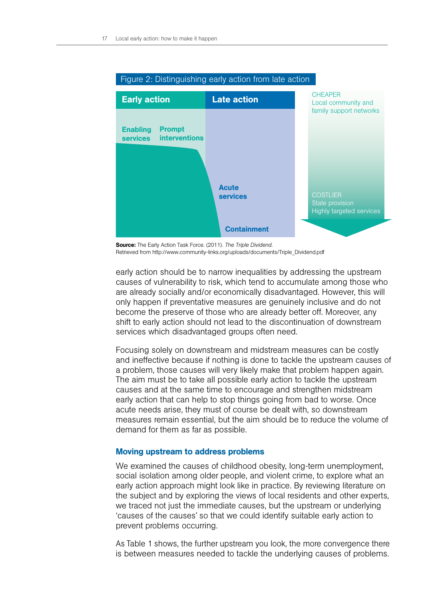

#### Figure 2: Distinguishing early action from late action

early action should be to narrow inequalities by addressing the upstream causes of vulnerability to risk, which tend to accumulate among those who are already socially and/or economically disadvantaged. However, this will only happen if preventative measures are genuinely inclusive and do not become the preserve of those who are already better off. Moreover, any shift to early action should not lead to the discontinuation of downstream services which disadvantaged groups often need.

Focusing solely on downstream and midstream measures can be costly and ineffective because if nothing is done to tackle the upstream causes of a problem, those causes will very likely make that problem happen again. The aim must be to take all possible early action to tackle the upstream causes and at the same time to encourage and strengthen midstream early action that can help to stop things going from bad to worse. Once acute needs arise, they must of course be dealt with, so downstream measures remain essential, but the aim should be to reduce the volume of demand for them as far as possible.

#### Moving upstream to address problems

We examined the causes of childhood obesity, long-term unemployment, social isolation among older people, and violent crime, to explore what an early action approach might look like in practice. By reviewing literature on the subject and by exploring the views of local residents and other experts, we traced not just the immediate causes, but the upstream or underlying 'causes of the causes' so that we could identify suitable early action to prevent problems occurring.

As Table 1 shows, the further upstream you look, the more convergence there is between measures needed to tackle the underlying causes of problems.

Source: The Early Action Task Force. (2011). *The Triple Dividend*. Retrieved from http://www.community-links.org/uploads/documents/Triple\_Dividend.pdf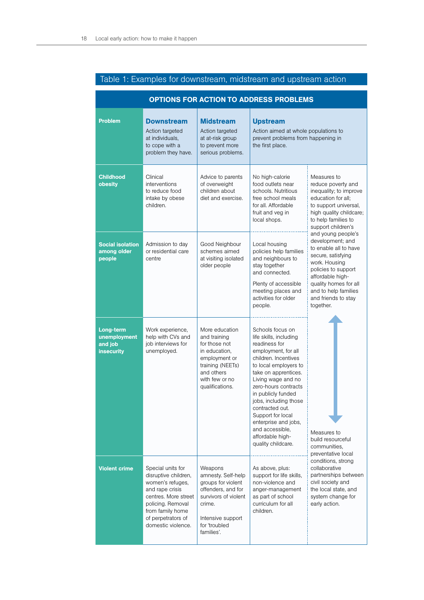| <b>OPTIONS FOR ACTION TO ADDRESS PROBLEMS</b>             |                                                                                                                                                                                               |                                                                                                                                                                 |                                                                                                                                                                                                                                                                                                                                                                                       |                                                                                                                                                                                                                                                                                                                                                                                                                              |  |
|-----------------------------------------------------------|-----------------------------------------------------------------------------------------------------------------------------------------------------------------------------------------------|-----------------------------------------------------------------------------------------------------------------------------------------------------------------|---------------------------------------------------------------------------------------------------------------------------------------------------------------------------------------------------------------------------------------------------------------------------------------------------------------------------------------------------------------------------------------|------------------------------------------------------------------------------------------------------------------------------------------------------------------------------------------------------------------------------------------------------------------------------------------------------------------------------------------------------------------------------------------------------------------------------|--|
| <b>Problem</b>                                            | <b>Downstream</b><br>Action targeted<br>at individuals,<br>to cope with a<br>problem they have.                                                                                               | <b>Midstream</b><br>Action targeted<br>at at-risk group<br>to prevent more<br>serious problems.                                                                 | <b>Upstream</b><br>Action aimed at whole populations to<br>prevent problems from happening in<br>the first place.                                                                                                                                                                                                                                                                     |                                                                                                                                                                                                                                                                                                                                                                                                                              |  |
| <b>Childhood</b><br>obesity                               | Clinical<br>interventions<br>to reduce food<br>intake by obese<br>children.                                                                                                                   | Advice to parents<br>of overweight<br>children about<br>diet and exercise.                                                                                      | No high-calorie<br>food outlets near<br>schools. Nutritious<br>free school meals<br>for all. Affordable<br>fruit and veg in<br>local shops.                                                                                                                                                                                                                                           | Measures to<br>reduce poverty and<br>inequality; to improve<br>education for all:<br>to support universal,<br>high quality childcare;<br>to help families to<br>support children's<br>and young people's<br>development; and<br>to enable all to have<br>secure, satisfying<br>work. Housing<br>policies to support<br>affordable high-<br>quality homes for all<br>and to help families<br>and friends to stay<br>together. |  |
| <b>Social isolation</b><br>among older<br>people          | Admission to day<br>or residential care<br>centre                                                                                                                                             | Good Neighbour<br>schemes aimed<br>at visiting isolated<br>older people                                                                                         | Local housing<br>policies help families<br>and neighbours to<br>stay together<br>and connected.<br>Plenty of accessible<br>meeting places and<br>activities for older<br>people.                                                                                                                                                                                                      |                                                                                                                                                                                                                                                                                                                                                                                                                              |  |
| Long-term<br>unemployment<br>and job<br><b>insecurity</b> | Work experience,<br>help with CVs and<br>job interviews for<br>unemployed.                                                                                                                    | More education<br>and training<br>for those not<br>in education,<br>employment or<br>training (NEETs)<br>and others<br>with few or no<br>qualifications.        | Schools focus on<br>life skills, including<br>readiness for<br>employment, for all<br>children. Incentives<br>to local employers to<br>take on apprentices.<br>Living wage and no<br>zero-hours contracts<br>in publicly funded<br>jobs, including those<br>contracted out.<br>Support for local<br>enterprise and jobs,<br>and accessible,<br>affordable high-<br>quality childcare. | Measures to<br>build resourceful<br>communities.<br>preventative local<br>conditions, strong<br>collaborative<br>partnerships between<br>civil society and<br>the local state, and<br>system change for<br>early action.                                                                                                                                                                                                     |  |
| <b>Violent crime</b>                                      | Special units for<br>disruptive children,<br>women's refuges,<br>and rape crisis<br>centres. More street<br>policing. Removal<br>from family home<br>of perpetrators of<br>domestic violence. | Weapons<br>amnesty. Self-help<br>groups for violent<br>offenders, and for<br>survivors of violent<br>crime.<br>Intensive support<br>for 'troubled<br>families'. | As above, plus:<br>support for life skills,<br>non-violence and<br>anger-management<br>as part of school<br>curriculum for all<br>children.                                                                                                                                                                                                                                           |                                                                                                                                                                                                                                                                                                                                                                                                                              |  |

# Table 1: Examples for downstream, midstream and upstream action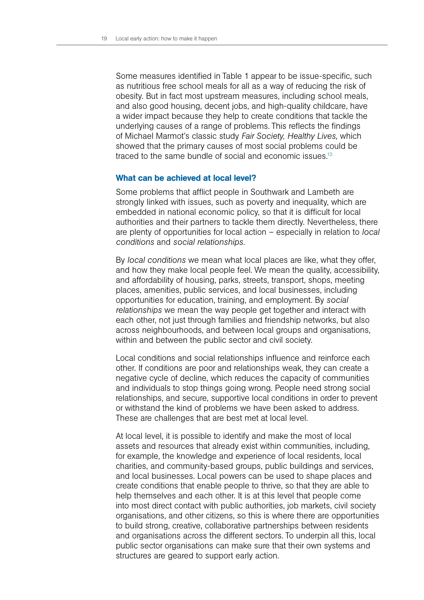Some measures identified in Table 1 appear to be issue-specific, such as nutritious free school meals for all as a way of reducing the risk of obesity. But in fact most upstream measures, including school meals, and also good housing, decent jobs, and high-quality childcare, have a wider impact because they help to create conditions that tackle the underlying causes of a range of problems. This reflects the findings of Michael Marmot's classic study *Fair Society, Healthy Lives*, which showed that the primary causes of most social problems could be traced to the same bundle of social and economic issues.<sup>13</sup>

# What can be achieved at local level?

Some problems that afflict people in Southwark and Lambeth are strongly linked with issues, such as poverty and inequality, which are embedded in national economic policy, so that it is difficult for local authorities and their partners to tackle them directly. Nevertheless, there are plenty of opportunities for local action – especially in relation to *local conditions* and *social relationships*.

By *local conditions* we mean what local places are like, what they offer, and how they make local people feel. We mean the quality, accessibility, and affordability of housing, parks, streets, transport, shops, meeting places, amenities, public services, and local businesses, including opportunities for education, training, and employment. By *social relationships* we mean the way people get together and interact with each other, not just through families and friendship networks, but also across neighbourhoods, and between local groups and organisations, within and between the public sector and civil society.

Local conditions and social relationships influence and reinforce each other. If conditions are poor and relationships weak, they can create a negative cycle of decline, which reduces the capacity of communities and individuals to stop things going wrong. People need strong social relationships, and secure, supportive local conditions in order to prevent or withstand the kind of problems we have been asked to address. These are challenges that are best met at local level.

At local level, it is possible to identify and make the most of local assets and resources that already exist within communities, including, for example, the knowledge and experience of local residents, local charities, and community-based groups, public buildings and services, and local businesses. Local powers can be used to shape places and create conditions that enable people to thrive, so that they are able to help themselves and each other. It is at this level that people come into most direct contact with public authorities, job markets, civil society organisations, and other citizens, so this is where there are opportunities to build strong, creative, collaborative partnerships between residents and organisations across the different sectors. To underpin all this, local public sector organisations can make sure that their own systems and structures are geared to support early action.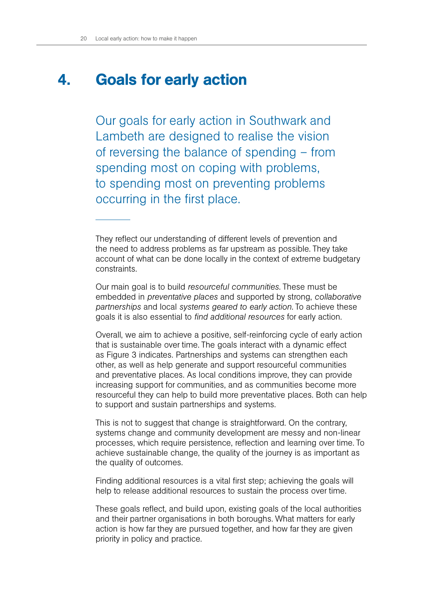#### Goals for early action 4.

Our goals for early action in Southwark and Lambeth are designed to realise the vision of reversing the balance of spending – from spending most on coping with problems, to spending most on preventing problems occurring in the first place.

They reflect our understanding of different levels of prevention and the need to address problems as far upstream as possible. They take account of what can be done locally in the context of extreme budgetary constraints.

Our main goal is to build *resourceful communities*. These must be embedded in *preventative places* and supported by strong, *collaborative partnerships* and local *systems geared to early action*. To achieve these goals it is also essential to *find additional resources* for early action.

Overall, we aim to achieve a positive, self-reinforcing cycle of early action that is sustainable over time. The goals interact with a dynamic effect as Figure 3 indicates. Partnerships and systems can strengthen each other, as well as help generate and support resourceful communities and preventative places. As local conditions improve, they can provide increasing support for communities, and as communities become more resourceful they can help to build more preventative places. Both can help to support and sustain partnerships and systems.

This is not to suggest that change is straightforward. On the contrary, systems change and community development are messy and non-linear processes, which require persistence, reflection and learning over time. To achieve sustainable change, the quality of the journey is as important as the quality of outcomes.

Finding additional resources is a vital first step; achieving the goals will help to release additional resources to sustain the process over time.

These goals reflect, and build upon, existing goals of the local authorities and their partner organisations in both boroughs. What matters for early action is how far they are pursued together, and how far they are given priority in policy and practice.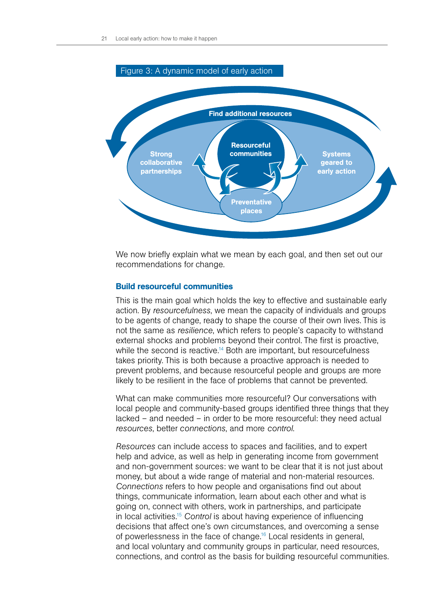

We now briefly explain what we mean by each goal, and then set out our recommendations for change.

#### Build resourceful communities

This is the main goal which holds the key to effective and sustainable early action. By *resourcefulness*, we mean the capacity of individuals and groups to be agents of change, ready to shape the course of their own lives. This is not the same as *resilience*, which refers to people's capacity to withstand external shocks and problems beyond their control. The first is proactive, while the second is reactive.<sup>14</sup> Both are important, but resourcefulness takes priority. This is both because a proactive approach is needed to prevent problems, and because resourceful people and groups are more likely to be resilient in the face of problems that cannot be prevented.

What can make communities more resourceful? Our conversations with local people and community-based groups identified three things that they lacked – and needed – in order to be more resourceful: they need actual *resources*, better *connections*, and more *control*.

*Resources* can include access to spaces and facilities, and to expert help and advice, as well as help in generating income from government and non-government sources: we want to be clear that it is not just about money, but about a wide range of material and non-material resources. *Connections* refers to how people and organisations find out about things, communicate information, learn about each other and what is going on, connect with others, work in partnerships, and participate in local activities.15 *Control* is about having experience of influencing decisions that affect one's own circumstances, and overcoming a sense of powerlessness in the face of change.<sup>16</sup> Local residents in general, and local voluntary and community groups in particular, need resources, connections, and control as the basis for building resourceful communities.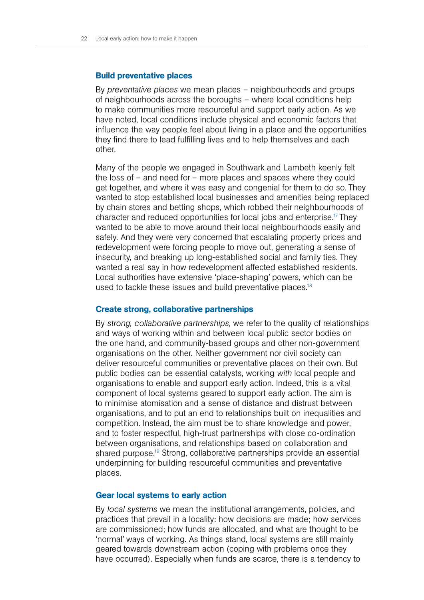#### Build preventative places

By *preventative places* we mean places – neighbourhoods and groups of neighbourhoods across the boroughs – where local conditions help to make communities more resourceful and support early action. As we have noted, local conditions include physical and economic factors that influence the way people feel about living in a place and the opportunities they find there to lead fulfilling lives and to help themselves and each other.

Many of the people we engaged in Southwark and Lambeth keenly felt the loss of – and need for – more places and spaces where they could get together, and where it was easy and congenial for them to do so. They wanted to stop established local businesses and amenities being replaced by chain stores and betting shops, which robbed their neighbourhoods of character and reduced opportunities for local jobs and enterprise.17 They wanted to be able to move around their local neighbourhoods easily and safely. And they were very concerned that escalating property prices and redevelopment were forcing people to move out, generating a sense of insecurity, and breaking up long-established social and family ties. They wanted a real say in how redevelopment affected established residents. Local authorities have extensive 'place-shaping' powers, which can be used to tackle these issues and build preventative places.<sup>18</sup>

## Create strong, collaborative partnerships

By *strong, collaborative partnerships*, we refer to the quality of relationships and ways of working within and between local public sector bodies on the one hand, and community-based groups and other non-government organisations on the other. Neither government nor civil society can deliver resourceful communities or preventative places on their own. But public bodies can be essential catalysts, working *with* local people and organisations to enable and support early action. Indeed, this is a vital component of local systems geared to support early action. The aim is to minimise atomisation and a sense of distance and distrust between organisations, and to put an end to relationships built on inequalities and competition. Instead, the aim must be to share knowledge and power, and to foster respectful, high-trust partnerships with close co-ordination between organisations, and relationships based on collaboration and shared purpose.19 Strong, collaborative partnerships provide an essential underpinning for building resourceful communities and preventative places.

#### Gear local systems to early action

By *local systems* we mean the institutional arrangements, policies, and practices that prevail in a locality: how decisions are made; how services are commissioned; how funds are allocated, and what are thought to be 'normal' ways of working. As things stand, local systems are still mainly geared towards downstream action (coping with problems once they have occurred). Especially when funds are scarce, there is a tendency to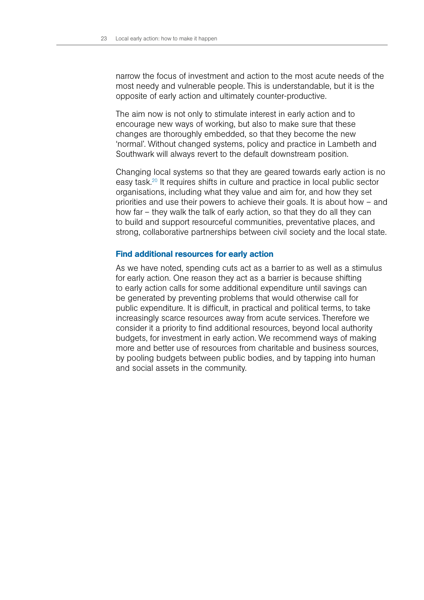narrow the focus of investment and action to the most acute needs of the most needy and vulnerable people. This is understandable, but it is the opposite of early action and ultimately counter-productive.

The aim now is not only to stimulate interest in early action and to encourage new ways of working, but also to make sure that these changes are thoroughly embedded, so that they become the new 'normal'. Without changed systems, policy and practice in Lambeth and Southwark will always revert to the default downstream position.

Changing local systems so that they are geared towards early action is no easy task.20 It requires shifts in culture and practice in local public sector organisations, including what they value and aim for, and how they set priorities and use their powers to achieve their goals. It is about how – and how far – they walk the talk of early action, so that they do all they can to build and support resourceful communities, preventative places, and strong, collaborative partnerships between civil society and the local state.

#### Find additional resources for early action

As we have noted, spending cuts act as a barrier to as well as a stimulus for early action. One reason they act as a barrier is because shifting to early action calls for some additional expenditure until savings can be generated by preventing problems that would otherwise call for public expenditure. It is difficult, in practical and political terms, to take increasingly scarce resources away from acute services. Therefore we consider it a priority to find additional resources, beyond local authority budgets, for investment in early action. We recommend ways of making more and better use of resources from charitable and business sources, by pooling budgets between public bodies, and by tapping into human and social assets in the community.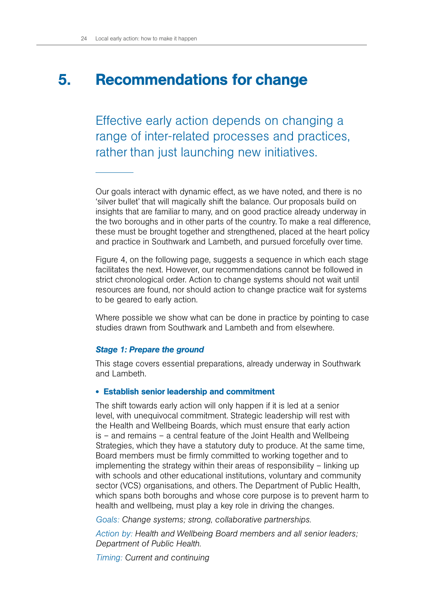#### Recommendations for change 5.

Effective early action depends on changing a range of inter-related processes and practices, rather than just launching new initiatives.

Our goals interact with dynamic effect, as we have noted, and there is no 'silver bullet' that will magically shift the balance. Our proposals build on insights that are familiar to many, and on good practice already underway in the two boroughs and in other parts of the country. To make a real difference, these must be brought together and strengthened, placed at the heart policy and practice in Southwark and Lambeth, and pursued forcefully over time.

Figure 4, on the following page, suggests a sequence in which each stage facilitates the next. However, our recommendations cannot be followed in strict chronological order. Action to change systems should not wait until resources are found, nor should action to change practice wait for systems to be geared to early action.

Where possible we show what can be done in practice by pointing to case studies drawn from Southwark and Lambeth and from elsewhere.

#### *Stage 1: Prepare the ground*

This stage covers essential preparations, already underway in Southwark and Lambeth.

# • Establish senior leadership and commitment

The shift towards early action will only happen if it is led at a senior level, with unequivocal commitment. Strategic leadership will rest with the Health and Wellbeing Boards, which must ensure that early action is – and remains – a central feature of the Joint Health and Wellbeing Strategies, which they have a statutory duty to produce. At the same time, Board members must be firmly committed to working together and to implementing the strategy within their areas of responsibility – linking up with schools and other educational institutions, voluntary and community sector (VCS) organisations, and others. The Department of Public Health, which spans both boroughs and whose core purpose is to prevent harm to health and wellbeing, must play a key role in driving the changes.

*Goals: Change systems; strong, collaborative partnerships.*

*Action by: Health and Wellbeing Board members and all senior leaders; Department of Public Health.*

*Timing: Current and continuing*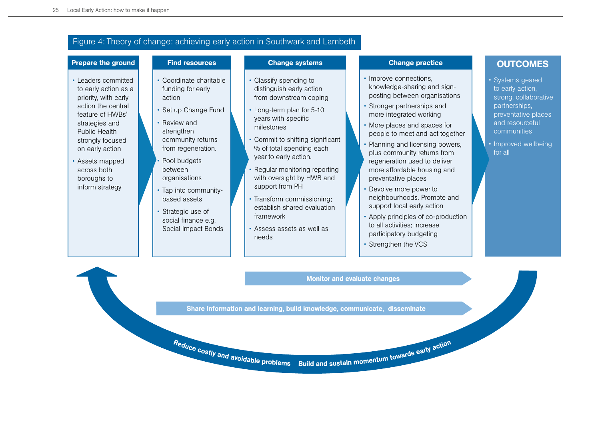# Figure 4: Theory of change: achieving early action in Southwark and Lambeth

#### Prepare the ground

#### Find resources

• Coordinate charitable funding for early

• Set up Change Fund

community returns

action

• Review and strengthen

#### Change systems

- Classify spending to distinguish early action from downstream coping
- Long-term plan for 5-10 years with specific milestones
- • Commit to shifting significant % of total spending each year to early action.
- Regular monitoring reporting with oversight by HWB and support from PH
- Transform commissioning; establish shared evaluation framework
- Assess assets as well as needs

#### Change practice

- Improve connections, knowledge-sharing and signposting between organisations
- Stronger partnerships and more integrated working
- More places and spaces for people to meet and act together
- • Planning and licensing powers, plus community returns from regeneration used to deliver more affordable housing and preventative places
- • Devolve more power to neighbourhoods. Promote and support local early action
- Apply principles of co-production to all activities; increase participatory budgeting
- Strengthen the VCS

# **OUTCOMES**

- Systems geared to early action, strong, collaborative partnerships, preventative places and resourceful communities
- Improved wellbeing for all

• Leaders committed to early action as a priority, with early action the central feature of HWBs' strategies and Public Health strongly focused on early action

- Assets mapped across both boroughs to inform strategy
- 

from regeneration. Pool budgets between

- organisations Tap into communitybased assets
- Strategic use of social finance e.g. Social Impact Bonds

Reduce

Monitor and evaluate changes

Share information and learning, build knowledge, communicate, disseminate

costly and avoidable problems

Build and sustain momentum towards early action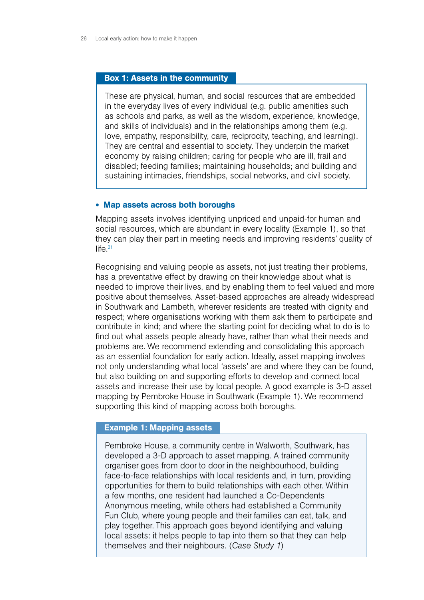#### Box 1: Assets in the community

These are physical, human, and social resources that are embedded in the everyday lives of every individual (e.g. public amenities such as schools and parks, as well as the wisdom, experience, knowledge, and skills of individuals) and in the relationships among them (e.g. love, empathy, responsibility, care, reciprocity, teaching, and learning). They are central and essential to society. They underpin the market economy by raising children; caring for people who are ill, frail and disabled; feeding families; maintaining households; and building and sustaining intimacies, friendships, social networks, and civil society.

#### • Map assets across both boroughs

Mapping assets involves identifying unpriced and unpaid-for human and social resources, which are abundant in every locality (Example 1), so that they can play their part in meeting needs and improving residents' quality of  $l$ ife $^{21}$ 

Recognising and valuing people as assets, not just treating their problems, has a preventative effect by drawing on their knowledge about what is needed to improve their lives, and by enabling them to feel valued and more positive about themselves. Asset-based approaches are already widespread in Southwark and Lambeth, wherever residents are treated with dignity and respect; where organisations working with them ask them to participate and contribute in kind; and where the starting point for deciding what to do is to find out what assets people already have, rather than what their needs and problems are. We recommend extending and consolidating this approach as an essential foundation for early action. Ideally, asset mapping involves not only understanding what local 'assets' are and where they can be found, but also building on and supporting efforts to develop and connect local assets and increase their use by local people. A good example is 3-D asset mapping by Pembroke House in Southwark (Example 1). We recommend supporting this kind of mapping across both boroughs.

#### Example 1: Mapping assets

Pembroke House, a community centre in Walworth, Southwark, has developed a 3-D approach to asset mapping. A trained community organiser goes from door to door in the neighbourhood, building face-to-face relationships with local residents and, in turn, providing opportunities for them to build relationships with each other. Within a few months, one resident had launched a Co-Dependents Anonymous meeting, while others had established a Community Fun Club, where young people and their families can eat, talk, and play together. This approach goes beyond identifying and valuing local assets: it helps people to tap into them so that they can help themselves and their neighbours. (*Case Study 1*)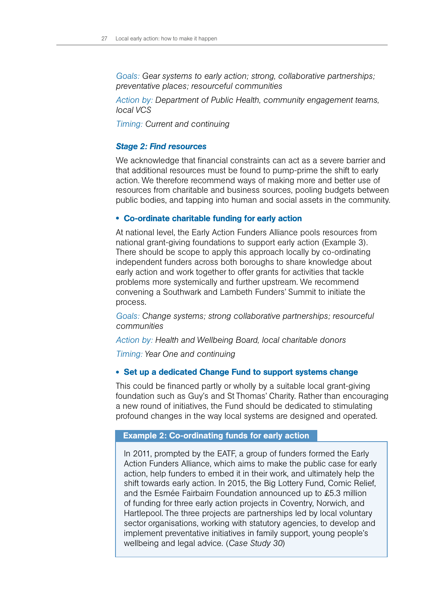*Goals: Gear systems to early action; strong, collaborative partnerships; preventative places; resourceful communities*

*Action by: Department of Public Health, community engagement teams, local VCS*

*Timing: Current and continuing*

### *Stage 2: Find resources*

We acknowledge that financial constraints can act as a severe barrier and that additional resources must be found to pump-prime the shift to early action. We therefore recommend ways of making more and better use of resources from charitable and business sources, pooling budgets between public bodies, and tapping into human and social assets in the community.

#### • Co-ordinate charitable funding for early action

At national level, the Early Action Funders Alliance pools resources from national grant-giving foundations to support early action (Example 3). There should be scope to apply this approach locally by co-ordinating independent funders across both boroughs to share knowledge about early action and work together to offer grants for activities that tackle problems more systemically and further upstream. We recommend convening a Southwark and Lambeth Funders' Summit to initiate the process.

*Goals: Change systems; strong collaborative partnerships; resourceful communities*

*Action by: Health and Wellbeing Board, local charitable donors*

*Timing: Year One and continuing*

#### • Set up a dedicated Change Fund to support systems change

This could be financed partly or wholly by a suitable local grant-giving foundation such as Guy's and St Thomas' Charity. Rather than encouraging a new round of initiatives, the Fund should be dedicated to stimulating profound changes in the way local systems are designed and operated.

#### Example 2: Co-ordinating funds for early action

In 2011, prompted by the EATF, a group of funders formed the Early Action Funders Alliance, which aims to make the public case for early action, help funders to embed it in their work, and ultimately help the shift towards early action. In 2015, the Big Lottery Fund, Comic Relief, and the Esmée Fairbairn Foundation announced up to £5.3 million of funding for three early action projects in Coventry, Norwich, and Hartlepool. The three projects are partnerships led by local voluntary sector organisations, working with statutory agencies, to develop and implement preventative initiatives in family support, young people's wellbeing and legal advice. (*Case Study 30*)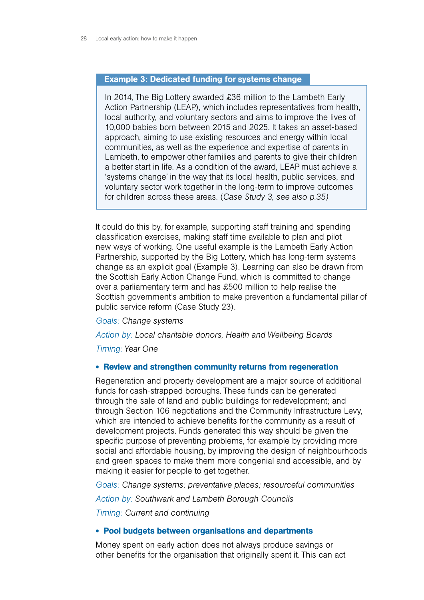# Example 3: Dedicated funding for systems change

In 2014, The Big Lottery awarded £36 million to the Lambeth Early Action Partnership (LEAP), which includes representatives from health, local authority, and voluntary sectors and aims to improve the lives of 10,000 babies born between 2015 and 2025. It takes an asset-based approach, aiming to use existing resources and energy within local communities, as well as the experience and expertise of parents in Lambeth, to empower other families and parents to give their children a better start in life. As a condition of the award, LEAP must achieve a 'systems change' in the way that its local health, public services, and voluntary sector work together in the long-term to improve outcomes for children across these areas. (*Case Study 3, see also p.35)*

It could do this by, for example, supporting staff training and spending classification exercises, making staff time available to plan and pilot new ways of working. One useful example is the Lambeth Early Action Partnership, supported by the Big Lottery, which has long-term systems change as an explicit goal (Example 3). Learning can also be drawn from the Scottish Early Action Change Fund, which is committed to change over a parliamentary term and has £500 million to help realise the Scottish government's ambition to make prevention a fundamental pillar of public service reform (Case Study 23).

#### *Goals: Change systems*

*Action by: Local charitable donors, Health and Wellbeing Boards*

*Timing: Year One*

#### • Review and strengthen community returns from regeneration

Regeneration and property development are a major source of additional funds for cash-strapped boroughs. These funds can be generated through the sale of land and public buildings for redevelopment; and through Section 106 negotiations and the Community Infrastructure Levy, which are intended to achieve benefits for the community as a result of development projects. Funds generated this way should be given the specific purpose of preventing problems, for example by providing more social and affordable housing, by improving the design of neighbourhoods and green spaces to make them more congenial and accessible, and by making it easier for people to get together.

*Goals: Change systems; preventative places; resourceful communities*

*Action by: Southwark and Lambeth Borough Councils*

*Timing: Current and continuing*

#### • Pool budgets between organisations and departments

Money spent on early action does not always produce savings or other benefits for the organisation that originally spent it. This can act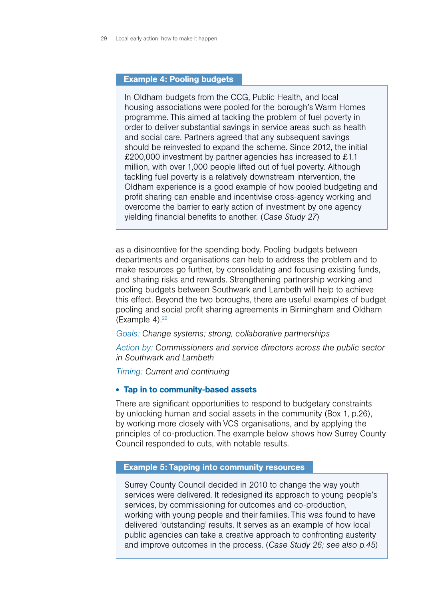#### Example 4: Pooling budgets

In Oldham budgets from the CCG, Public Health, and local housing associations were pooled for the borough's Warm Homes programme. This aimed at tackling the problem of fuel poverty in order to deliver substantial savings in service areas such as health and social care. Partners agreed that any subsequent savings should be reinvested to expand the scheme. Since 2012, the initial £200,000 investment by partner agencies has increased to £1.1 million, with over 1,000 people lifted out of fuel poverty. Although tackling fuel poverty is a relatively downstream intervention, the Oldham experience is a good example of how pooled budgeting and profit sharing can enable and incentivise cross-agency working and overcome the barrier to early action of investment by one agency yielding financial benefits to another. (*Case Study 27*)

as a disincentive for the spending body. Pooling budgets between departments and organisations can help to address the problem and to make resources go further, by consolidating and focusing existing funds, and sharing risks and rewards. Strengthening partnership working and pooling budgets between Southwark and Lambeth will help to achieve this effect. Beyond the two boroughs, there are useful examples of budget pooling and social profit sharing agreements in Birmingham and Oldham (Example 4). $22$ 

# *Goals: Change systems; strong, collaborative partnerships*

*Action by: Commissioners and service directors across the public sector in Southwark and Lambeth*

*Timing: Current and continuing*

#### • Tap in to community-based assets

There are significant opportunities to respond to budgetary constraints by unlocking human and social assets in the community (Box 1, p.26), by working more closely with VCS organisations, and by applying the principles of co-production. The example below shows how Surrey County Council responded to cuts, with notable results.

#### Example 5: Tapping into community resources

Surrey County Council decided in 2010 to change the way youth services were delivered. It redesigned its approach to young people's services, by commissioning for outcomes and co-production, working with young people and their families. This was found to have delivered 'outstanding' results. It serves as an example of how local public agencies can take a creative approach to confronting austerity and improve outcomes in the process. (*Case Study 26; see also p.45*)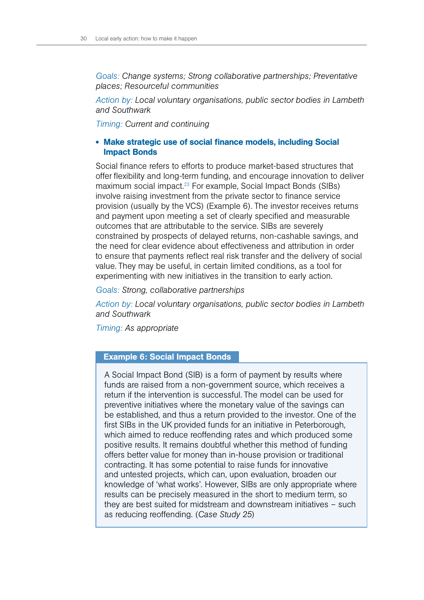*Goals: Change systems; Strong collaborative partnerships; Preventative places; Resourceful communities*

*Action by: Local voluntary organisations, public sector bodies in Lambeth and Southwark*

*Timing: Current and continuing*

# • Make strategic use of social finance models, including Social Impact Bonds

Social finance refers to efforts to produce market-based structures that offer flexibility and long-term funding, and encourage innovation to deliver maximum social impact.<sup>23</sup> For example, Social Impact Bonds (SIBs) involve raising investment from the private sector to finance service provision (usually by the VCS) (Example 6). The investor receives returns and payment upon meeting a set of clearly specified and measurable outcomes that are attributable to the service. SIBs are severely constrained by prospects of delayed returns, non-cashable savings, and the need for clear evidence about effectiveness and attribution in order to ensure that payments reflect real risk transfer and the delivery of social value. They may be useful, in certain limited conditions, as a tool for experimenting with new initiatives in the transition to early action.

*Goals: Strong, collaborative partnerships*

*Action by: Local voluntary organisations, public sector bodies in Lambeth and Southwark*

*Timing: As appropriate*

## Example 6: Social Impact Bonds

A Social Impact Bond (SIB) is a form of payment by results where funds are raised from a non-government source, which receives a return if the intervention is successful. The model can be used for preventive initiatives where the monetary value of the savings can be established, and thus a return provided to the investor. One of the first SIBs in the UK provided funds for an initiative in Peterborough, which aimed to reduce reoffending rates and which produced some positive results. It remains doubtful whether this method of funding offers better value for money than in-house provision or traditional contracting. It has some potential to raise funds for innovative and untested projects, which can, upon evaluation, broaden our knowledge of 'what works'. However, SIBs are only appropriate where results can be precisely measured in the short to medium term, so they are best suited for midstream and downstream initiatives – such as reducing reoffending. (*Case Study 25*)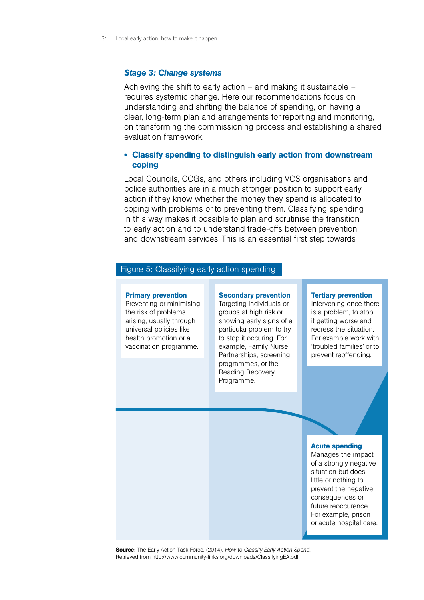#### *Stage 3: Change systems*

Achieving the shift to early action  $-$  and making it sustainable  $$ requires systemic change. Here our recommendations focus on understanding and shifting the balance of spending, on having a clear, long-term plan and arrangements for reporting and monitoring, on transforming the commissioning process and establishing a shared evaluation framework.

# • Classify spending to distinguish early action from downstream coping

Local Councils, CCGs, and others including VCS organisations and police authorities are in a much stronger position to support early action if they know whether the money they spend is allocated to coping with problems or to preventing them. Classifying spending in this way makes it possible to plan and scrutinise the transition to early action and to understand trade-offs between prevention and downstream services. This is an essential first step towards

# Figure 5: Classifying early action spending

#### Primary prevention

Preventing or minimising the risk of problems arising, usually through universal policies like health promotion or a vaccination programme.

#### Secondary prevention

Targeting individuals or groups at high risk or showing early signs of a particular problem to try to stop it occuring. For example, Family Nurse Partnerships, screening programmes, or the Reading Recovery Programme.

#### Tertiary prevention

Intervening once there is a problem, to stop it getting worse and redress the situation. For example work with 'troubled families' or to prevent reoffending.

#### Acute spending

Manages the impact of a strongly negative situation but does little or nothing to prevent the negative consequences or future reoccurence. For example, prison or acute hospital care.

Source: The Early Action Task Force. (2014). *How to Classify Early Action Spend*. Retrieved from http://www.community-links.org/downloads/ClassifyingEA.pdf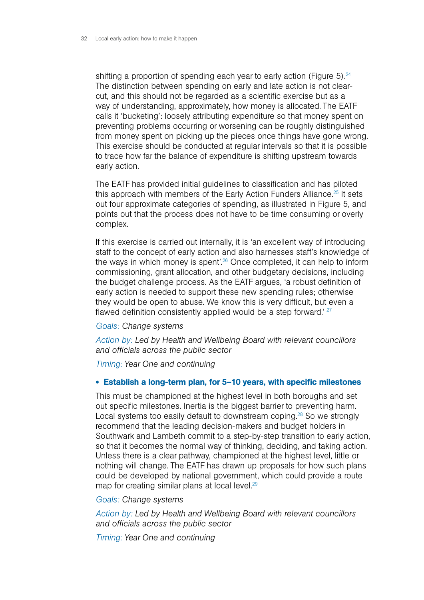shifting a proportion of spending each year to early action (Figure 5).  $24$ The distinction between spending on early and late action is not clearcut, and this should not be regarded as a scientific exercise but as a way of understanding, approximately, how money is allocated. The EATF calls it 'bucketing': loosely attributing expenditure so that money spent on preventing problems occurring or worsening can be roughly distinguished from money spent on picking up the pieces once things have gone wrong. This exercise should be conducted at regular intervals so that it is possible to trace how far the balance of expenditure is shifting upstream towards early action.

The EATF has provided initial guidelines to classification and has piloted this approach with members of the Early Action Funders Alliance.<sup>25</sup> It sets out four approximate categories of spending, as illustrated in Figure 5, and points out that the process does not have to be time consuming or overly complex.

If this exercise is carried out internally, it is 'an excellent way of introducing staff to the concept of early action and also harnesses staff's knowledge of the ways in which money is spent<sup>'.26</sup> Once completed, it can help to inform commissioning, grant allocation, and other budgetary decisions, including the budget challenge process. As the EATF argues, 'a robust definition of early action is needed to support these new spending rules; otherwise they would be open to abuse. We know this is very difficult, but even a flawed definition consistently applied would be a step forward.' 27

#### *Goals: Change systems*

*Action by: Led by Health and Wellbeing Board with relevant councillors and officials across the public sector*

*Timing: Year One and continuing* 

# • Establish a long-term plan, for 5–10 years, with specific milestones

This must be championed at the highest level in both boroughs and set out specific milestones. Inertia is the biggest barrier to preventing harm. Local systems too easily default to downstream coping.<sup>28</sup> So we strongly recommend that the leading decision-makers and budget holders in Southwark and Lambeth commit to a step-by-step transition to early action, so that it becomes the normal way of thinking, deciding, and taking action. Unless there is a clear pathway, championed at the highest level, little or nothing will change. The EATF has drawn up proposals for how such plans could be developed by national government, which could provide a route map for creating similar plans at local level.<sup>29</sup>

#### *Goals: Change systems*

*Action by: Led by Health and Wellbeing Board with relevant councillors and officials across the public sector*

*Timing: Year One and continuing*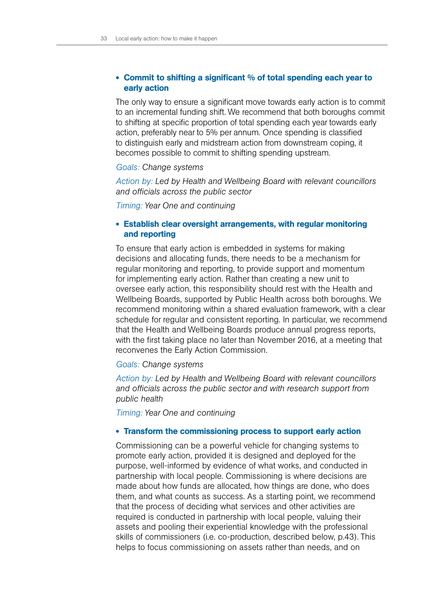## • Commit to shifting a significant % of total spending each year to early action

The only way to ensure a significant move towards early action is to commit to an incremental funding shift. We recommend that both boroughs commit to shifting at specific proportion of total spending each year towards early action, preferably near to 5% per annum. Once spending is classified to distinguish early and midstream action from downstream coping, it becomes possible to commit to shifting spending upstream.

#### *Goals: Change systems*

*Action by: Led by Health and Wellbeing Board with relevant councillors and officials across the public sector*

*Timing: Year One and continuing*

# • Establish clear oversight arrangements, with regular monitoring and reporting

To ensure that early action is embedded in systems for making decisions and allocating funds, there needs to be a mechanism for regular monitoring and reporting, to provide support and momentum for implementing early action. Rather than creating a new unit to oversee early action, this responsibility should rest with the Health and Wellbeing Boards, supported by Public Health across both boroughs. We recommend monitoring within a shared evaluation framework, with a clear schedule for regular and consistent reporting. In particular, we recommend that the Health and Wellbeing Boards produce annual progress reports, with the first taking place no later than November 2016, at a meeting that reconvenes the Early Action Commission.

### *Goals: Change systems*

*Action by: Led by Health and Wellbeing Board with relevant councillors and officials across the public sector and with research support from public health* 

*Timing: Year One and continuing*

#### • Transform the commissioning process to support early action

Commissioning can be a powerful vehicle for changing systems to promote early action, provided it is designed and deployed for the purpose, well-informed by evidence of what works, and conducted in partnership with local people. Commissioning is where decisions are made about how funds are allocated, how things are done, who does them, and what counts as success. As a starting point, we recommend that the process of deciding what services and other activities are required is conducted in partnership with local people, valuing their assets and pooling their experiential knowledge with the professional skills of commissioners (i.e. co-production, described below, p.43). This helps to focus commissioning on assets rather than needs, and on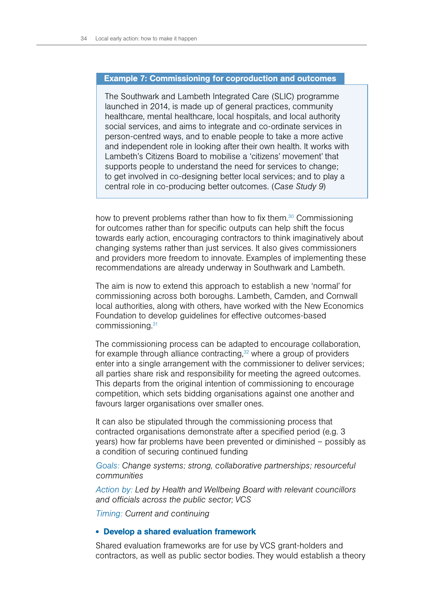#### Example 7: Commissioning for coproduction and outcomes

The Southwark and Lambeth Integrated Care (SLIC) programme launched in 2014, is made up of general practices, community healthcare, mental healthcare, local hospitals, and local authority social services, and aims to integrate and co-ordinate services in person-centred ways, and to enable people to take a more active and independent role in looking after their own health. It works with Lambeth's Citizens Board to mobilise a 'citizens' movement' that supports people to understand the need for services to change; to get involved in co-designing better local services; and to play a central role in co-producing better outcomes. (*Case Study 9*)

how to prevent problems rather than how to fix them.<sup>30</sup> Commissioning for outcomes rather than for specific outputs can help shift the focus towards early action, encouraging contractors to think imaginatively about changing systems rather than just services. It also gives commissioners and providers more freedom to innovate. Examples of implementing these recommendations are already underway in Southwark and Lambeth.

The aim is now to extend this approach to establish a new 'normal' for commissioning across both boroughs. Lambeth, Camden, and Cornwall local authorities, along with others, have worked with the New Economics Foundation to develop guidelines for effective outcomes-based commissioning.31

The commissioning process can be adapted to encourage collaboration, for example through alliance contracting, $32$  where a group of providers enter into a single arrangement with the commissioner to deliver services; all parties share risk and responsibility for meeting the agreed outcomes. This departs from the original intention of commissioning to encourage competition, which sets bidding organisations against one another and favours larger organisations over smaller ones.

It can also be stipulated through the commissioning process that contracted organisations demonstrate after a specified period (e.g. 3 years) how far problems have been prevented or diminished – possibly as a condition of securing continued funding

*Goals: Change systems; strong, collaborative partnerships; resourceful communities*

*Action by: Led by Health and Wellbeing Board with relevant councillors and officials across the public sector; VCS*

*Timing: Current and continuing*

#### • Develop a shared evaluation framework

Shared evaluation frameworks are for use by VCS grant-holders and contractors, as well as public sector bodies. They would establish a theory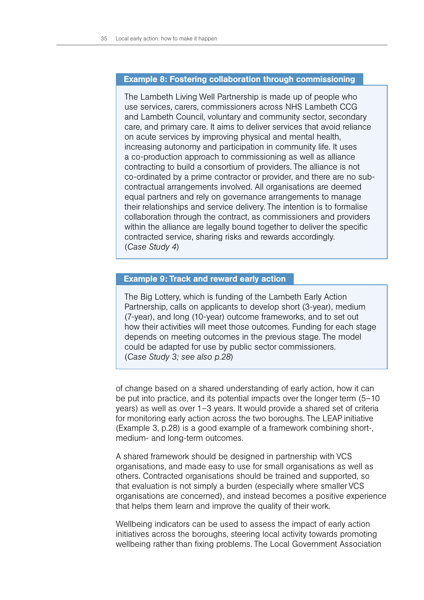#### Example 8: Fostering collaboration through commissioning

The Lambeth Living Well Partnership is made up of people who use services, carers, commissioners across NHS Lambeth CCG and Lambeth Council, voluntary and community sector, secondary care, and primary care. It aims to deliver services that avoid reliance on acute services by improving physical and mental health, increasing autonomy and participation in community life. It uses a co-production approach to commissioning as well as alliance contracting to build a consortium of providers. The alliance is not co-ordinated by a prime contractor or provider, and there are no subcontractual arrangements involved. All organisations are deemed equal partners and rely on governance arrangements to manage their relationships and service delivery. The intention is to formalise collaboration through the contract, as commissioners and providers within the alliance are legally bound together to deliver the specific contracted service, sharing risks and rewards accordingly. (*Case Study 4*)

# Example 9: Track and reward early action

The Big Lottery, which is funding of the Lambeth Early Action Partnership, calls on applicants to develop short (3-year), medium (7-year), and long (10-year) outcome frameworks, and to set out how their activities will meet those outcomes. Funding for each stage depends on meeting outcomes in the previous stage. The model could be adapted for use by public sector commissioners. (*Case Study 3; see also p.28*)

of change based on a shared understanding of early action, how it can be put into practice, and its potential impacts over the longer term (5–10 years) as well as over 1–3 years. It would provide a shared set of criteria for monitoring early action across the two boroughs. The LEAP initiative (Example 3, p.28) is a good example of a framework combining short-, medium- and long-term outcomes.

A shared framework should be designed in partnership with VCS organisations, and made easy to use for small organisations as well as others. Contracted organisations should be trained and supported, so that evaluation is not simply a burden (especially where smaller VCS organisations are concerned), and instead becomes a positive experience that helps them learn and improve the quality of their work.

Wellbeing indicators can be used to assess the impact of early action initiatives across the boroughs, steering local activity towards promoting wellbeing rather than fixing problems. The Local Government Association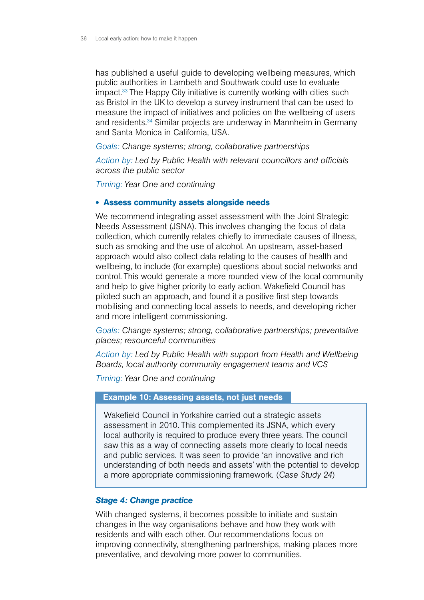has published a useful guide to developing wellbeing measures, which public authorities in Lambeth and Southwark could use to evaluate impact.<sup>33</sup> The Happy City initiative is currently working with cities such as Bristol in the UK to develop a survey instrument that can be used to measure the impact of initiatives and policies on the wellbeing of users and residents.<sup>34</sup> Similar projects are underway in Mannheim in Germany and Santa Monica in California, USA.

*Goals: Change systems; strong, collaborative partnerships* 

*Action by: Led by Public Health with relevant councillors and officials across the public sector* 

*Timing: Year One and continuing* 

#### • Assess community assets alongside needs

We recommend integrating asset assessment with the Joint Strategic Needs Assessment (JSNA). This involves changing the focus of data collection, which currently relates chiefly to immediate causes of illness, such as smoking and the use of alcohol. An upstream, asset-based approach would also collect data relating to the causes of health and wellbeing, to include (for example) questions about social networks and control. This would generate a more rounded view of the local community and help to give higher priority to early action. Wakefield Council has piloted such an approach, and found it a positive first step towards mobilising and connecting local assets to needs, and developing richer and more intelligent commissioning.

*Goals: Change systems; strong, collaborative partnerships; preventative places; resourceful communities*

*Action by: Led by Public Health with support from Health and Wellbeing Boards, local authority community engagement teams and VCS*

*Timing: Year One and continuing*

# Example 10: Assessing assets, not just needs

Wakefield Council in Yorkshire carried out a strategic assets assessment in 2010. This complemented its JSNA, which every local authority is required to produce every three years. The council saw this as a way of connecting assets more clearly to local needs and public services. It was seen to provide 'an innovative and rich understanding of both needs and assets' with the potential to develop a more appropriate commissioning framework. (*Case Study 24*)

# *Stage 4: Change practice*

With changed systems, it becomes possible to initiate and sustain changes in the way organisations behave and how they work with residents and with each other. Our recommendations focus on improving connectivity, strengthening partnerships, making places more preventative, and devolving more power to communities.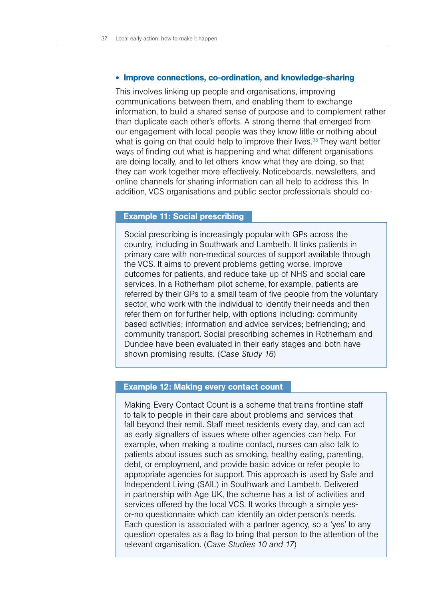#### • Improve connections, co-ordination, and knowledge-sharing

This involves linking up people and organisations, improving communications between them, and enabling them to exchange information, to build a shared sense of purpose and to complement rather than duplicate each other's efforts. A strong theme that emerged from our engagement with local people was they know little or nothing about what is going on that could help to improve their lives.<sup>35</sup> They want better ways of finding out what is happening and what different organisations are doing locally, and to let others know what they are doing, so that they can work together more effectively. Noticeboards, newsletters, and online channels for sharing information can all help to address this. In addition, VCS organisations and public sector professionals should co-

#### Example 11: Social prescribing

Social prescribing is increasingly popular with GPs across the country, including in Southwark and Lambeth. It links patients in primary care with non-medical sources of support available through the VCS. It aims to prevent problems getting worse, improve outcomes for patients, and reduce take up of NHS and social care services. In a Rotherham pilot scheme, for example, patients are referred by their GPs to a small team of five people from the voluntary sector, who work with the individual to identify their needs and then refer them on for further help, with options including: community based activities; information and advice services; befriending; and community transport. Social prescribing schemes in Rotherham and Dundee have been evaluated in their early stages and both have shown promising results. (*Case Study 16*)

#### Example 12: Making every contact count

Making Every Contact Count is a scheme that trains frontline staff to talk to people in their care about problems and services that fall beyond their remit. Staff meet residents every day, and can act as early signallers of issues where other agencies can help. For example, when making a routine contact, nurses can also talk to patients about issues such as smoking, healthy eating, parenting, debt, or employment, and provide basic advice or refer people to appropriate agencies for support. This approach is used by Safe and Independent Living (SAIL) in Southwark and Lambeth. Delivered in partnership with Age UK, the scheme has a list of activities and services offered by the local VCS. It works through a simple yesor-no questionnaire which can identify an older person's needs. Each question is associated with a partner agency, so a 'yes' to any question operates as a flag to bring that person to the attention of the relevant organisation. (*Case Studies 10 and 17*)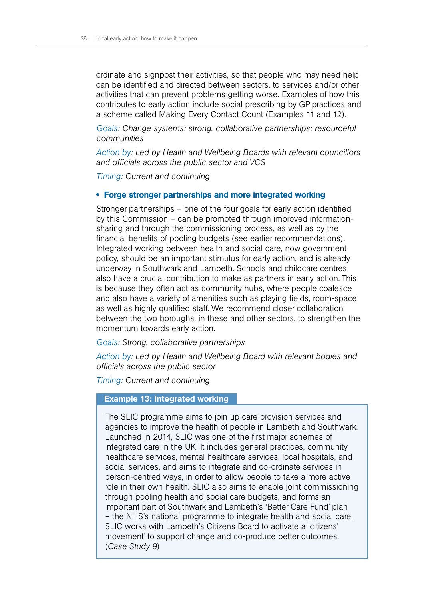ordinate and signpost their activities, so that people who may need help can be identified and directed between sectors, to services and/or other activities that can prevent problems getting worse. Examples of how this contributes to early action include social prescribing by GP practices and a scheme called Making Every Contact Count (Examples 11 and 12).

*Goals: Change systems; strong, collaborative partnerships; resourceful communities*

*Action by: Led by Health and Wellbeing Boards with relevant councillors and officials across the public sector and VCS*

*Timing: Current and continuing* 

# • Forge stronger partnerships and more integrated working

Stronger partnerships – one of the four goals for early action identified by this Commission – can be promoted through improved informationsharing and through the commissioning process, as well as by the financial benefits of pooling budgets (see earlier recommendations). Integrated working between health and social care, now government policy, should be an important stimulus for early action, and is already underway in Southwark and Lambeth. Schools and childcare centres also have a crucial contribution to make as partners in early action. This is because they often act as community hubs, where people coalesce and also have a variety of amenities such as playing fields, room-space as well as highly qualified staff. We recommend closer collaboration between the two boroughs, in these and other sectors, to strengthen the momentum towards early action.

#### *Goals: Strong, collaborative partnerships*

*Action by: Led by Health and Wellbeing Board with relevant bodies and officials across the public sector* 

*Timing: Current and continuing* 

#### Example 13: Integrated working

The SLIC programme aims to join up care provision services and agencies to improve the health of people in Lambeth and Southwark. Launched in 2014, SLIC was one of the first major schemes of integrated care in the UK. It includes general practices, community healthcare services, mental healthcare services, local hospitals, and social services, and aims to integrate and co-ordinate services in person-centred ways, in order to allow people to take a more active role in their own health. SLIC also aims to enable joint commissioning through pooling health and social care budgets, and forms an important part of Southwark and Lambeth's 'Better Care Fund' plan – the NHS's national programme to integrate health and social care. SLIC works with Lambeth's Citizens Board to activate a 'citizens' movement' to support change and co-produce better outcomes. (*Case Study 9*)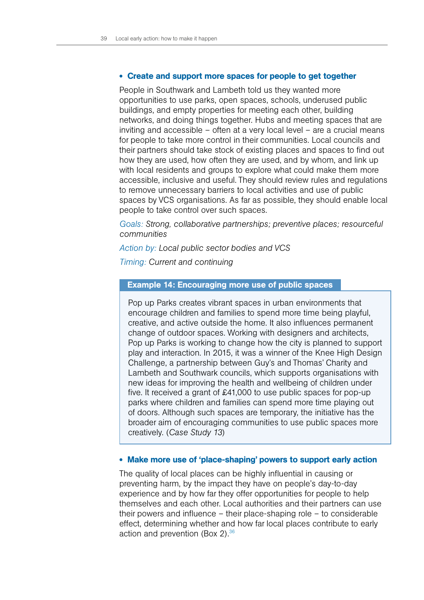#### • Create and support more spaces for people to get together

People in Southwark and Lambeth told us they wanted more opportunities to use parks, open spaces, schools, underused public buildings, and empty properties for meeting each other, building networks, and doing things together. Hubs and meeting spaces that are inviting and accessible – often at a very local level – are a crucial means for people to take more control in their communities. Local councils and their partners should take stock of existing places and spaces to find out how they are used, how often they are used, and by whom, and link up with local residents and groups to explore what could make them more accessible, inclusive and useful. They should review rules and regulations to remove unnecessary barriers to local activities and use of public spaces by VCS organisations. As far as possible, they should enable local people to take control over such spaces.

*Goals: Strong, collaborative partnerships; preventive places; resourceful communities*

#### *Action by: Local public sector bodies and VCS*

*Timing: Current and continuing*

# Example 14: Encouraging more use of public spaces

Pop up Parks creates vibrant spaces in urban environments that encourage children and families to spend more time being playful, creative, and active outside the home. It also influences permanent change of outdoor spaces. Working with designers and architects, Pop up Parks is working to change how the city is planned to support play and interaction. In 2015, it was a winner of the Knee High Design Challenge, a partnership between Guy's and Thomas' Charity and Lambeth and Southwark councils, which supports organisations with new ideas for improving the health and wellbeing of children under five. It received a grant of £41,000 to use public spaces for pop-up parks where children and families can spend more time playing out of doors. Although such spaces are temporary, the initiative has the broader aim of encouraging communities to use public spaces more creatively. (*Case Study 13*)

#### • Make more use of 'place-shaping' powers to support early action

The quality of local places can be highly influential in causing or preventing harm, by the impact they have on people's day-to-day experience and by how far they offer opportunities for people to help themselves and each other. Local authorities and their partners can use their powers and influence – their place-shaping role – to considerable effect, determining whether and how far local places contribute to early action and prevention (Box 2).<sup>36</sup>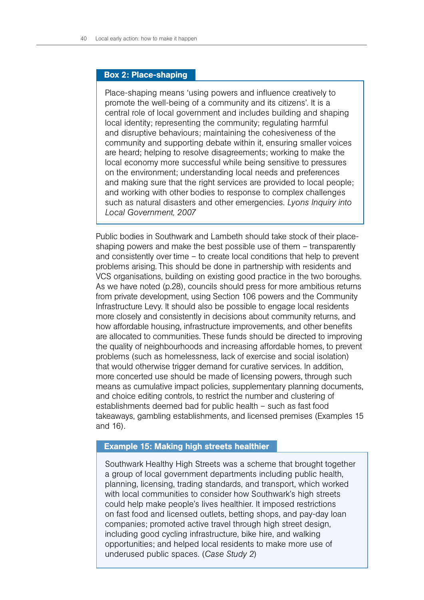# Box 2: Place-shaping

Place-shaping means 'using powers and influence creatively to promote the well-being of a community and its citizens'. It is a central role of local government and includes building and shaping local identity; representing the community; regulating harmful and disruptive behaviours; maintaining the cohesiveness of the community and supporting debate within it, ensuring smaller voices are heard; helping to resolve disagreements; working to make the local economy more successful while being sensitive to pressures on the environment; understanding local needs and preferences and making sure that the right services are provided to local people; and working with other bodies to response to complex challenges such as natural disasters and other emergencies. *Lyons Inquiry into Local Government, 2007*

Public bodies in Southwark and Lambeth should take stock of their placeshaping powers and make the best possible use of them – transparently and consistently over time – to create local conditions that help to prevent problems arising. This should be done in partnership with residents and VCS organisations, building on existing good practice in the two boroughs. As we have noted (p.28), councils should press for more ambitious returns from private development, using Section 106 powers and the Community Infrastructure Levy. It should also be possible to engage local residents more closely and consistently in decisions about community returns, and how affordable housing, infrastructure improvements, and other benefits are allocated to communities. These funds should be directed to improving the quality of neighbourhoods and increasing affordable homes, to prevent problems (such as homelessness, lack of exercise and social isolation) that would otherwise trigger demand for curative services. In addition, more concerted use should be made of licensing powers, through such means as cumulative impact policies, supplementary planning documents, and choice editing controls, to restrict the number and clustering of establishments deemed bad for public health – such as fast food takeaways, gambling establishments, and licensed premises (Examples 15 and 16).

#### Example 15: Making high streets healthier

Southwark Healthy High Streets was a scheme that brought together a group of local government departments including public health, planning, licensing, trading standards, and transport, which worked with local communities to consider how Southwark's high streets could help make people's lives healthier. It imposed restrictions on fast food and licensed outlets, betting shops, and pay-day loan companies; promoted active travel through high street design, including good cycling infrastructure, bike hire, and walking opportunities; and helped local residents to make more use of underused public spaces. (*Case Study 2*)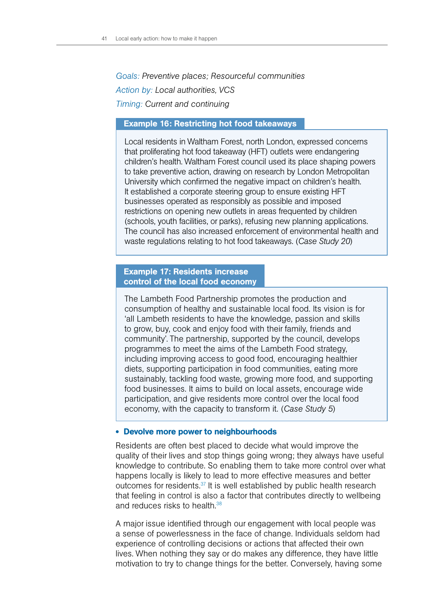*Goals: Preventive places; Resourceful communities Action by: Local authorities, VCS Timing: Current and continuing*

# Example 16: Restricting hot food takeaways

Local residents in Waltham Forest, north London, expressed concerns that proliferating hot food takeaway (HFT) outlets were endangering children's health. Waltham Forest council used its place shaping powers to take preventive action, drawing on research by London Metropolitan University which confirmed the negative impact on children's health. It established a corporate steering group to ensure existing HFT businesses operated as responsibly as possible and imposed restrictions on opening new outlets in areas frequented by children (schools, youth facilities, or parks), refusing new planning applications. The council has also increased enforcement of environmental health and waste regulations relating to hot food takeaways. (*Case Study 20*)

# Example 17: Residents increase control of the local food economy

The Lambeth Food Partnership promotes the production and consumption of healthy and sustainable local food. Its vision is for 'all Lambeth residents to have the knowledge, passion and skills to grow, buy, cook and enjoy food with their family, friends and community'. The partnership, supported by the council, develops programmes to meet the aims of the Lambeth Food strategy, including improving access to good food, encouraging healthier diets, supporting participation in food communities, eating more sustainably, tackling food waste, growing more food, and supporting food businesses. It aims to build on local assets, encourage wide participation, and give residents more control over the local food economy, with the capacity to transform it. (*Case Study 5*)

# • Devolve more power to neighbourhoods

Residents are often best placed to decide what would improve the quality of their lives and stop things going wrong; they always have useful knowledge to contribute. So enabling them to take more control over what happens locally is likely to lead to more effective measures and better outcomes for residents.37 It is well established by public health research that feeling in control is also a factor that contributes directly to wellbeing and reduces risks to health.<sup>38</sup>

A major issue identified through our engagement with local people was a sense of powerlessness in the face of change. Individuals seldom had experience of controlling decisions or actions that affected their own lives. When nothing they say or do makes any difference, they have little motivation to try to change things for the better. Conversely, having some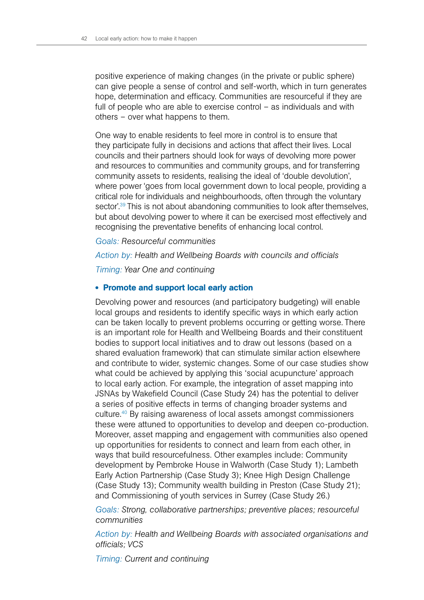positive experience of making changes (in the private or public sphere) can give people a sense of control and self-worth, which in turn generates hope, determination and efficacy. Communities are resourceful if they are full of people who are able to exercise control – as individuals and with others – over what happens to them.

One way to enable residents to feel more in control is to ensure that they participate fully in decisions and actions that affect their lives. Local councils and their partners should look for ways of devolving more power and resources to communities and community groups, and for transferring community assets to residents, realising the ideal of 'double devolution', where power 'goes from local government down to local people, providing a critical role for individuals and neighbourhoods, often through the voluntary sector'.<sup>39</sup> This is not about abandoning communities to look after themselves, but about devolving power to where it can be exercised most effectively and recognising the preventative benefits of enhancing local control.

*Goals: Resourceful communities*

*Action by: Health and Wellbeing Boards with councils and officials*

*Timing: Year One and continuing*

# • Promote and support local early action

Devolving power and resources (and participatory budgeting) will enable local groups and residents to identify specific ways in which early action can be taken locally to prevent problems occurring or getting worse. There is an important role for Health and Wellbeing Boards and their constituent bodies to support local initiatives and to draw out lessons (based on a shared evaluation framework) that can stimulate similar action elsewhere and contribute to wider, systemic changes. Some of our case studies show what could be achieved by applying this 'social acupuncture' approach to local early action. For example, the integration of asset mapping into JSNAs by Wakefield Council (Case Study 24) has the potential to deliver a series of positive effects in terms of changing broader systems and culture.40 By raising awareness of local assets amongst commissioners these were attuned to opportunities to develop and deepen co-production. Moreover, asset mapping and engagement with communities also opened up opportunities for residents to connect and learn from each other, in ways that build resourcefulness. Other examples include: Community development by Pembroke House in Walworth (Case Study 1); Lambeth Early Action Partnership (Case Study 3); Knee High Design Challenge (Case Study 13); Community wealth building in Preston (Case Study 21); and Commissioning of youth services in Surrey (Case Study 26.)

*Goals: Strong, collaborative partnerships; preventive places; resourceful communities*

*Action by: Health and Wellbeing Boards with associated organisations and officials; VCS*

*Timing: Current and continuing*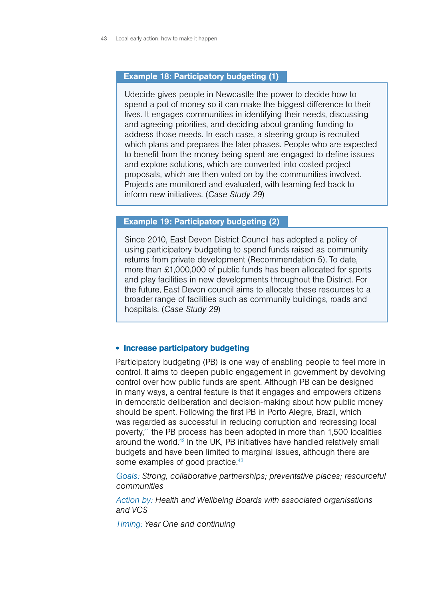# Example 18: Participatory budgeting (1)

Udecide gives people in Newcastle the power to decide how to spend a pot of money so it can make the biggest difference to their lives. It engages communities in identifying their needs, discussing and agreeing priorities, and deciding about granting funding to address those needs. In each case, a steering group is recruited which plans and prepares the later phases. People who are expected to benefit from the money being spent are engaged to define issues and explore solutions, which are converted into costed project proposals, which are then voted on by the communities involved. Projects are monitored and evaluated, with learning fed back to inform new initiatives. (*Case Study 29*)

# Example 19: Participatory budgeting (2)

Since 2010, East Devon District Council has adopted a policy of using participatory budgeting to spend funds raised as community returns from private development (Recommendation 5). To date, more than £1,000,000 of public funds has been allocated for sports and play facilities in new developments throughout the District. For the future, East Devon council aims to allocate these resources to a broader range of facilities such as community buildings, roads and hospitals. (*Case Study 29*)

# • Increase participatory budgeting

Participatory budgeting (PB) is one way of enabling people to feel more in control. It aims to deepen public engagement in government by devolving control over how public funds are spent. Although PB can be designed in many ways, a central feature is that it engages and empowers citizens in democratic deliberation and decision-making about how public money should be spent. Following the first PB in Porto Alegre, Brazil, which was regarded as successful in reducing corruption and redressing local poverty,41 the PB process has been adopted in more than 1,500 localities around the world.42 In the UK, PB initiatives have handled relatively small budgets and have been limited to marginal issues, although there are some examples of good practice.<sup>43</sup>

*Goals: Strong, collaborative partnerships; preventative places; resourceful communities*

*Action by: Health and Wellbeing Boards with associated organisations and VCS*

*Timing: Year One and continuing*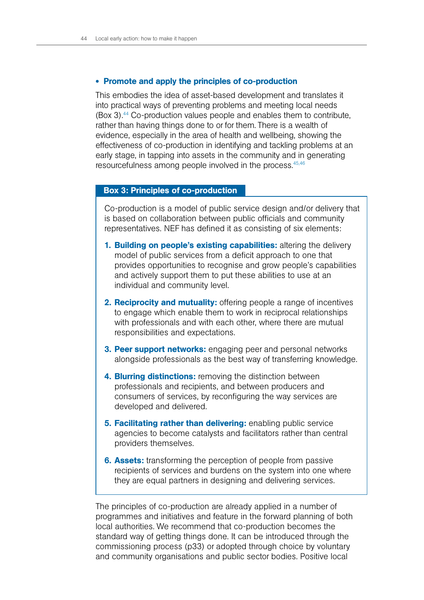#### • Promote and apply the principles of co-production

This embodies the idea of asset-based development and translates it into practical ways of preventing problems and meeting local needs (Box 3).44 Co-production values people and enables them to contribute, rather than having things done to or for them. There is a wealth of evidence, especially in the area of health and wellbeing, showing the effectiveness of co-production in identifying and tackling problems at an early stage, in tapping into assets in the community and in generating resourcefulness among people involved in the process.<sup>45,46</sup>

#### Box 3: Principles of co-production

Co-production is a model of public service design and/or delivery that is based on collaboration between public officials and community representatives. NEF has defined it as consisting of six elements:

- 1. Building on people's existing capabilities: altering the delivery model of public services from a deficit approach to one that provides opportunities to recognise and grow people's capabilities and actively support them to put these abilities to use at an individual and community level.
- 2. Reciprocity and mutuality: offering people a range of incentives to engage which enable them to work in reciprocal relationships with professionals and with each other, where there are mutual responsibilities and expectations.
- **3. Peer support networks:** engaging peer and personal networks alongside professionals as the best way of transferring knowledge.
- 4. Blurring distinctions: removing the distinction between professionals and recipients, and between producers and consumers of services, by reconfiguring the way services are developed and delivered.
- **5. Facilitating rather than delivering:** enabling public service agencies to become catalysts and facilitators rather than central providers themselves.
- **6. Assets:** transforming the perception of people from passive recipients of services and burdens on the system into one where they are equal partners in designing and delivering services.

The principles of co-production are already applied in a number of programmes and initiatives and feature in the forward planning of both local authorities. We recommend that co-production becomes the standard way of getting things done. It can be introduced through the commissioning process (p33) or adopted through choice by voluntary and community organisations and public sector bodies. Positive local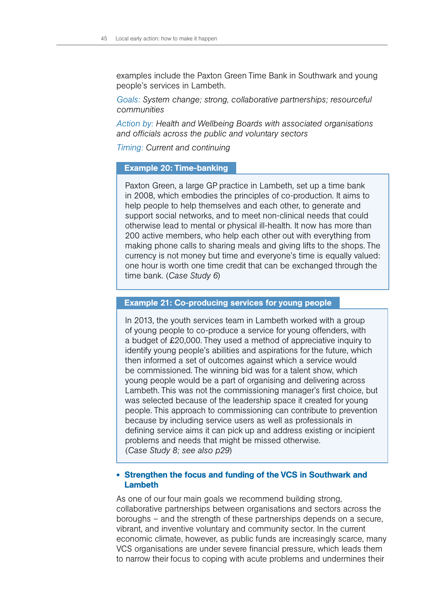examples include the Paxton Green Time Bank in Southwark and young people's services in Lambeth.

*Goals: System change; strong, collaborative partnerships; resourceful communities*

*Action by: Health and Wellbeing Boards with associated organisations and officials across the public and voluntary sectors*

*Timing: Current and continuing*

#### Example 20: Time-banking

Paxton Green, a large GP practice in Lambeth, set up a time bank in 2008, which embodies the principles of co-production. It aims to help people to help themselves and each other, to generate and support social networks, and to meet non-clinical needs that could otherwise lead to mental or physical ill-health. It now has more than 200 active members, who help each other out with everything from making phone calls to sharing meals and giving lifts to the shops. The currency is not money but time and everyone's time is equally valued: one hour is worth one time credit that can be exchanged through the time bank. (*Case Study 6*)

# Example 21: Co-producing services for young people

In 2013, the youth services team in Lambeth worked with a group of young people to co-produce a service for young offenders, with a budget of £20,000. They used a method of appreciative inquiry to identify young people's abilities and aspirations for the future, which then informed a set of outcomes against which a service would be commissioned. The winning bid was for a talent show, which young people would be a part of organising and delivering across Lambeth. This was not the commissioning manager's first choice, but was selected because of the leadership space it created for young people. This approach to commissioning can contribute to prevention because by including service users as well as professionals in defining service aims it can pick up and address existing or incipient problems and needs that might be missed otherwise. (*Case Study 8; see also p29*)

# • Strengthen the focus and funding of the VCS in Southwark and Lambeth

As one of our four main goals we recommend building strong, collaborative partnerships between organisations and sectors across the boroughs – and the strength of these partnerships depends on a secure, vibrant, and inventive voluntary and community sector. In the current economic climate, however, as public funds are increasingly scarce, many VCS organisations are under severe financial pressure, which leads them to narrow their focus to coping with acute problems and undermines their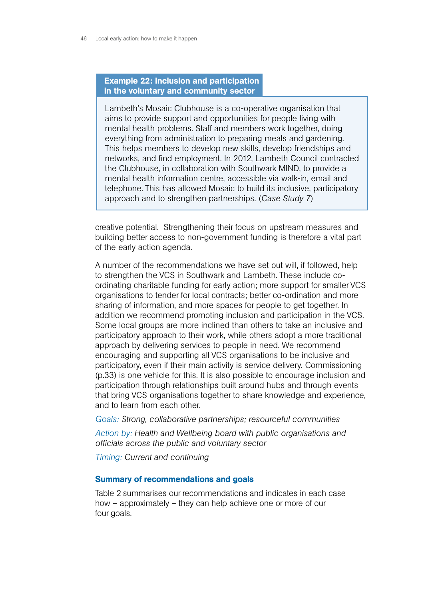# Example 22: Inclusion and participation in the voluntary and community sector

Lambeth's Mosaic Clubhouse is a co-operative organisation that aims to provide support and opportunities for people living with mental health problems. Staff and members work together, doing everything from administration to preparing meals and gardening. This helps members to develop new skills, develop friendships and networks, and find employment. In 2012, Lambeth Council contracted the Clubhouse, in collaboration with Southwark MIND, to provide a mental health information centre, accessible via walk-in, email and telephone. This has allowed Mosaic to build its inclusive, participatory approach and to strengthen partnerships. (*Case Study 7*)

creative potential. Strengthening their focus on upstream measures and building better access to non-government funding is therefore a vital part of the early action agenda.

A number of the recommendations we have set out will, if followed, help to strengthen the VCS in Southwark and Lambeth. These include coordinating charitable funding for early action; more support for smaller VCS organisations to tender for local contracts; better co-ordination and more sharing of information, and more spaces for people to get together. In addition we recommend promoting inclusion and participation in the VCS. Some local groups are more inclined than others to take an inclusive and participatory approach to their work, while others adopt a more traditional approach by delivering services to people in need. We recommend encouraging and supporting all VCS organisations to be inclusive and participatory, even if their main activity is service delivery. Commissioning (p.33) is one vehicle for this. It is also possible to encourage inclusion and participation through relationships built around hubs and through events that bring VCS organisations together to share knowledge and experience, and to learn from each other.

*Goals: Strong, collaborative partnerships; resourceful communities*

*Action by: Health and Wellbeing board with public organisations and officials across the public and voluntary sector*

*Timing: Current and continuing*

#### Summary of recommendations and goals

Table 2 summarises our recommendations and indicates in each case how – approximately – they can help achieve one or more of our four goals.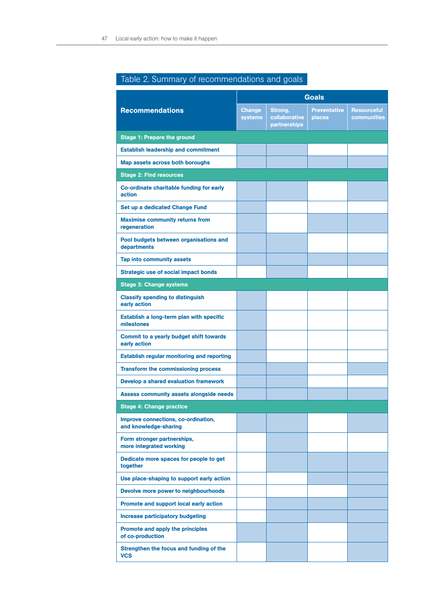| <b>Recommendations</b>                                       | <b>Goals</b>                    |                                          |                               |                                   |
|--------------------------------------------------------------|---------------------------------|------------------------------------------|-------------------------------|-----------------------------------|
|                                                              | <b>Change</b><br><b>systems</b> | Strong,<br>collaborative<br>partnerships | <b>Preventative</b><br>places | <b>Resourceful</b><br>communities |
| <b>Stage 1: Prepare the ground</b>                           |                                 |                                          |                               |                                   |
| <b>Establish leadership and commitment</b>                   |                                 |                                          |                               |                                   |
| Map assets across both boroughs                              |                                 |                                          |                               |                                   |
| <b>Stage 2: Find resources</b>                               |                                 |                                          |                               |                                   |
| Co-ordinate charitable funding for early<br>action           |                                 |                                          |                               |                                   |
| Set up a dedicated Change Fund                               |                                 |                                          |                               |                                   |
| <b>Maximise community returns from</b><br>regeneration       |                                 |                                          |                               |                                   |
| Pool budgets between organisations and<br>departments        |                                 |                                          |                               |                                   |
| <b>Tap into community assets</b>                             |                                 |                                          |                               |                                   |
| <b>Strategic use of social impact bonds</b>                  |                                 |                                          |                               |                                   |
| <b>Stage 3: Change systems</b>                               |                                 |                                          |                               |                                   |
| <b>Classify spending to distinguish</b><br>early action      |                                 |                                          |                               |                                   |
| Establish a long-term plan with specific<br>milestones       |                                 |                                          |                               |                                   |
| Commit to a yearly budget shift towards<br>early action      |                                 |                                          |                               |                                   |
| <b>Establish regular monitoring and reporting</b>            |                                 |                                          |                               |                                   |
| <b>Transform the commissioning process</b>                   |                                 |                                          |                               |                                   |
| Develop a shared evaluation framework                        |                                 |                                          |                               |                                   |
| <b>Assess community assets alongside needs</b>               |                                 |                                          |                               |                                   |
| <b>Stage 4: Change practice</b>                              |                                 |                                          |                               |                                   |
| Improve connections, co-ordination,<br>and knowledge-sharing |                                 |                                          |                               |                                   |
| Form stronger partnerships,<br>more integrated working       |                                 |                                          |                               |                                   |
| Dedicate more spaces for people to get<br>together           |                                 |                                          |                               |                                   |
| Use place-shaping to support early action                    |                                 |                                          |                               |                                   |
| Devolve more power to neighbourhoods                         |                                 |                                          |                               |                                   |
| Promote and support local early action                       |                                 |                                          |                               |                                   |
| <b>Increase participatory budgeting</b>                      |                                 |                                          |                               |                                   |
| Promote and apply the principles<br>of co-production         |                                 |                                          |                               |                                   |
| Strengthen the focus and funding of the<br><b>VCS</b>        |                                 |                                          |                               |                                   |

# Table 2. Summary of recommendations and goals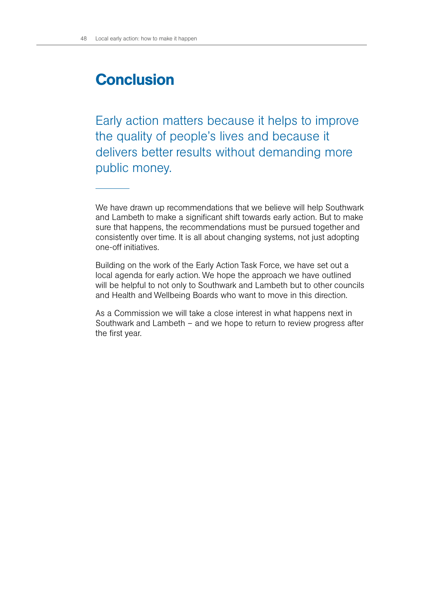# **Conclusion**

Early action matters because it helps to improve the quality of people's lives and because it delivers better results without demanding more public money.

We have drawn up recommendations that we believe will help Southwark and Lambeth to make a significant shift towards early action. But to make sure that happens, the recommendations must be pursued together and consistently over time. It is all about changing systems, not just adopting one-off initiatives.

Building on the work of the Early Action Task Force, we have set out a local agenda for early action. We hope the approach we have outlined will be helpful to not only to Southwark and Lambeth but to other councils and Health and Wellbeing Boards who want to move in this direction.

As a Commission we will take a close interest in what happens next in Southwark and Lambeth – and we hope to return to review progress after the first year.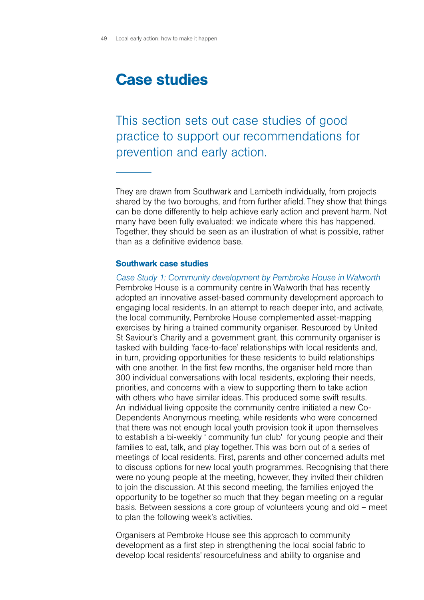# Case studies

This section sets out case studies of good practice to support our recommendations for prevention and early action.

They are drawn from Southwark and Lambeth individually, from projects shared by the two boroughs, and from further afield. They show that things can be done differently to help achieve early action and prevent harm. Not many have been fully evaluated: we indicate where this has happened. Together, they should be seen as an illustration of what is possible, rather than as a definitive evidence base.

# Southwark case studies

*Case Study 1: Community development by Pembroke House in Walworth*  Pembroke House is a community centre in Walworth that has recently adopted an innovative asset-based community development approach to engaging local residents. In an attempt to reach deeper into, and activate, the local community, Pembroke House complemented asset-mapping exercises by hiring a trained community organiser. Resourced by United St Saviour's Charity and a government grant, this community organiser is tasked with building 'face-to-face' relationships with local residents and, in turn, providing opportunities for these residents to build relationships with one another. In the first few months, the organiser held more than 300 individual conversations with local residents, exploring their needs, priorities, and concerns with a view to supporting them to take action with others who have similar ideas. This produced some swift results. An individual living opposite the community centre initiated a new Co-Dependents Anonymous meeting, while residents who were concerned that there was not enough local youth provision took it upon themselves to establish a bi-weekly ' community fun club' for young people and their families to eat, talk, and play together. This was born out of a series of meetings of local residents. First, parents and other concerned adults met to discuss options for new local youth programmes. Recognising that there were no young people at the meeting, however, they invited their children to join the discussion. At this second meeting, the families enjoyed the opportunity to be together so much that they began meeting on a regular basis. Between sessions a core group of volunteers young and old – meet to plan the following week's activities.

Organisers at Pembroke House see this approach to community development as a first step in strengthening the local social fabric to develop local residents' resourcefulness and ability to organise and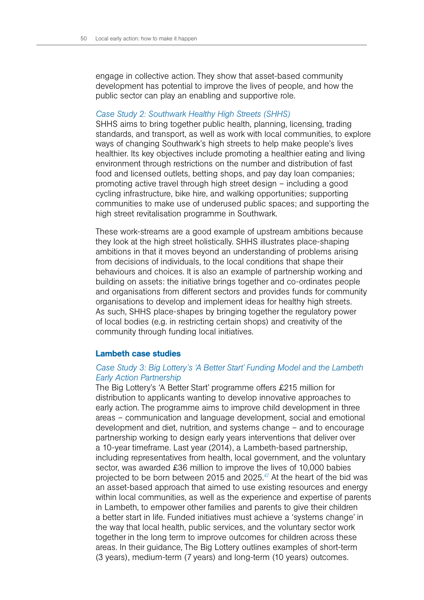engage in collective action. They show that asset-based community development has potential to improve the lives of people, and how the public sector can play an enabling and supportive role.

#### *Case Study 2: Southwark Healthy High Streets (SHHS)*

SHHS aims to bring together public health, planning, licensing, trading standards, and transport, as well as work with local communities, to explore ways of changing Southwark's high streets to help make people's lives healthier. Its key objectives include promoting a healthier eating and living environment through restrictions on the number and distribution of fast food and licensed outlets, betting shops, and pay day loan companies; promoting active travel through high street design – including a good cycling infrastructure, bike hire, and walking opportunities; supporting communities to make use of underused public spaces; and supporting the high street revitalisation programme in Southwark.

These work-streams are a good example of upstream ambitions because they look at the high street holistically. SHHS illustrates place-shaping ambitions in that it moves beyond an understanding of problems arising from decisions of individuals, to the local conditions that shape their behaviours and choices. It is also an example of partnership working and building on assets: the initiative brings together and co-ordinates people and organisations from different sectors and provides funds for community organisations to develop and implement ideas for healthy high streets. As such, SHHS place-shapes by bringing together the regulatory power of local bodies (e.g. in restricting certain shops) and creativity of the community through funding local initiatives.

#### Lambeth case studies

# *Case Study 3: Big Lottery's 'A Better Start' Funding Model and the Lambeth Early Action Partnership*

The Big Lottery's 'A Better Start' programme offers £215 million for distribution to applicants wanting to develop innovative approaches to early action. The programme aims to improve child development in three areas – communication and language development, social and emotional development and diet, nutrition, and systems change – and to encourage partnership working to design early years interventions that deliver over a 10-year timeframe. Last year (2014), a Lambeth-based partnership, including representatives from health, local government, and the voluntary sector, was awarded £36 million to improve the lives of 10,000 babies projected to be born between 2015 and 2025. $47$  At the heart of the bid was an asset-based approach that aimed to use existing resources and energy within local communities, as well as the experience and expertise of parents in Lambeth, to empower other families and parents to give their children a better start in life. Funded initiatives must achieve a 'systems change' in the way that local health, public services, and the voluntary sector work together in the long term to improve outcomes for children across these areas. In their guidance, The Big Lottery outlines examples of short-term (3 years), medium-term (7 years) and long-term (10 years) outcomes.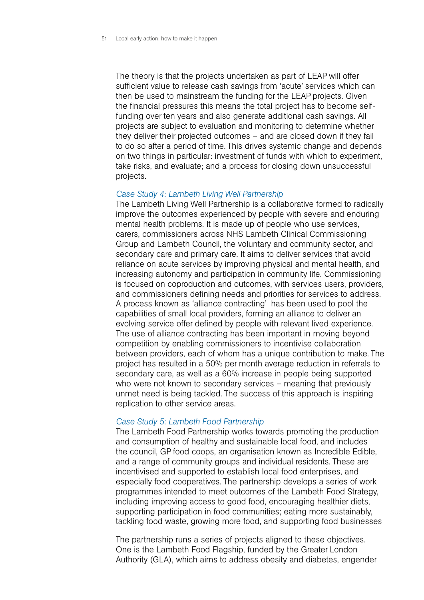The theory is that the projects undertaken as part of LEAP will offer sufficient value to release cash savings from 'acute' services which can then be used to mainstream the funding for the LEAP projects. Given the financial pressures this means the total project has to become selffunding over ten years and also generate additional cash savings. All projects are subject to evaluation and monitoring to determine whether they deliver their projected outcomes – and are closed down if they fail to do so after a period of time. This drives systemic change and depends on two things in particular: investment of funds with which to experiment, take risks, and evaluate; and a process for closing down unsuccessful projects.

#### *Case Study 4: Lambeth Living Well Partnership*

The Lambeth Living Well Partnership is a collaborative formed to radically improve the outcomes experienced by people with severe and enduring mental health problems. It is made up of people who use services, carers, commissioners across NHS Lambeth Clinical Commissioning Group and Lambeth Council, the voluntary and community sector, and secondary care and primary care. It aims to deliver services that avoid reliance on acute services by improving physical and mental health, and increasing autonomy and participation in community life. Commissioning is focused on coproduction and outcomes, with services users, providers, and commissioners defining needs and priorities for services to address. A process known as 'alliance contracting' has been used to pool the capabilities of small local providers, forming an alliance to deliver an evolving service offer defined by people with relevant lived experience. The use of alliance contracting has been important in moving beyond competition by enabling commissioners to incentivise collaboration between providers, each of whom has a unique contribution to make. The project has resulted in a 50% per month average reduction in referrals to secondary care, as well as a 60% increase in people being supported who were not known to secondary services – meaning that previously unmet need is being tackled. The success of this approach is inspiring replication to other service areas.

#### *Case Study 5: Lambeth Food Partnership*

The Lambeth Food Partnership works towards promoting the production and consumption of healthy and sustainable local food, and includes the council, GP food coops, an organisation known as Incredible Edible, and a range of community groups and individual residents. These are incentivised and supported to establish local food enterprises, and especially food cooperatives. The partnership develops a series of work programmes intended to meet outcomes of the Lambeth Food Strategy, including improving access to good food, encouraging healthier diets, supporting participation in food communities; eating more sustainably, tackling food waste, growing more food, and supporting food businesses

The partnership runs a series of projects aligned to these objectives. One is the Lambeth Food Flagship, funded by the Greater London Authority (GLA), which aims to address obesity and diabetes, engender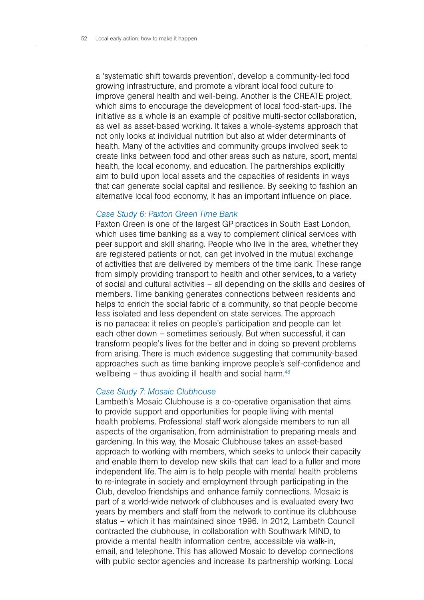a 'systematic shift towards prevention', develop a community-led food growing infrastructure, and promote a vibrant local food culture to improve general health and well-being. Another is the CREATE project, which aims to encourage the development of local food-start-ups. The initiative as a whole is an example of positive multi-sector collaboration, as well as asset-based working. It takes a whole-systems approach that not only looks at individual nutrition but also at wider determinants of health. Many of the activities and community groups involved seek to create links between food and other areas such as nature, sport, mental health, the local economy, and education. The partnerships explicitly aim to build upon local assets and the capacities of residents in ways that can generate social capital and resilience. By seeking to fashion an alternative local food economy, it has an important influence on place.

#### *Case Study 6: Paxton Green Time Bank*

Paxton Green is one of the largest GP practices in South East London, which uses time banking as a way to complement clinical services with peer support and skill sharing. People who live in the area, whether they are registered patients or not, can get involved in the mutual exchange of activities that are delivered by members of the time bank. These range from simply providing transport to health and other services, to a variety of social and cultural activities – all depending on the skills and desires of members. Time banking generates connections between residents and helps to enrich the social fabric of a community, so that people become less isolated and less dependent on state services. The approach is no panacea: it relies on people's participation and people can let each other down – sometimes seriously. But when successful, it can transform people's lives for the better and in doing so prevent problems from arising. There is much evidence suggesting that community-based approaches such as time banking improve people's self-confidence and wellbeing – thus avoiding ill health and social harm.<sup>48</sup>

#### *Case Study 7: Mosaic Clubhouse*

Lambeth's Mosaic Clubhouse is a co-operative organisation that aims to provide support and opportunities for people living with mental health problems. Professional staff work alongside members to run all aspects of the organisation, from administration to preparing meals and gardening. In this way, the Mosaic Clubhouse takes an asset-based approach to working with members, which seeks to unlock their capacity and enable them to develop new skills that can lead to a fuller and more independent life. The aim is to help people with mental health problems to re-integrate in society and employment through participating in the Club, develop friendships and enhance family connections. Mosaic is part of a world-wide network of clubhouses and is evaluated every two years by members and staff from the network to continue its clubhouse status – which it has maintained since 1996. In 2012, Lambeth Council contracted the clubhouse, in collaboration with Southwark MIND, to provide a mental health information centre, accessible via walk-in, email, and telephone. This has allowed Mosaic to develop connections with public sector agencies and increase its partnership working. Local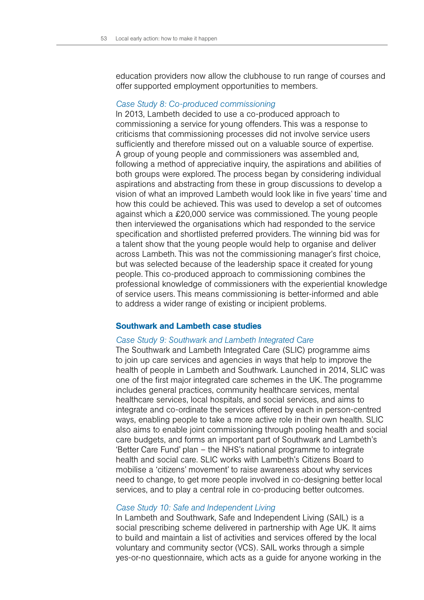education providers now allow the clubhouse to run range of courses and offer supported employment opportunities to members.

#### *Case Study 8: Co-produced commissioning*

In 2013, Lambeth decided to use a co-produced approach to commissioning a service for young offenders. This was a response to criticisms that commissioning processes did not involve service users sufficiently and therefore missed out on a valuable source of expertise. A group of young people and commissioners was assembled and, following a method of appreciative inquiry, the aspirations and abilities of both groups were explored. The process began by considering individual aspirations and abstracting from these in group discussions to develop a vision of what an improved Lambeth would look like in five years' time and how this could be achieved. This was used to develop a set of outcomes against which a £20,000 service was commissioned. The young people then interviewed the organisations which had responded to the service specification and shortlisted preferred providers. The winning bid was for a talent show that the young people would help to organise and deliver across Lambeth. This was not the commissioning manager's first choice, but was selected because of the leadership space it created for young people. This co-produced approach to commissioning combines the professional knowledge of commissioners with the experiential knowledge of service users. This means commissioning is better-informed and able to address a wider range of existing or incipient problems.

#### Southwark and Lambeth case studies

#### *Case Study 9: Southwark and Lambeth Integrated Care*

The Southwark and Lambeth Integrated Care (SLIC) programme aims to join up care services and agencies in ways that help to improve the health of people in Lambeth and Southwark. Launched in 2014, SLIC was one of the first major integrated care schemes in the UK. The programme includes general practices, community healthcare services, mental healthcare services, local hospitals, and social services, and aims to integrate and co-ordinate the services offered by each in person-centred ways, enabling people to take a more active role in their own health. SLIC also aims to enable joint commissioning through pooling health and social care budgets, and forms an important part of Southwark and Lambeth's 'Better Care Fund' plan – the NHS's national programme to integrate health and social care. SLIC works with Lambeth's Citizens Board to mobilise a 'citizens' movement' to raise awareness about why services need to change, to get more people involved in co-designing better local services, and to play a central role in co-producing better outcomes.

#### *Case Study 10: Safe and Independent Living*

In Lambeth and Southwark, Safe and Independent Living (SAIL) is a social prescribing scheme delivered in partnership with Age UK. It aims to build and maintain a list of activities and services offered by the local voluntary and community sector (VCS). SAIL works through a simple yes-or-no questionnaire, which acts as a guide for anyone working in the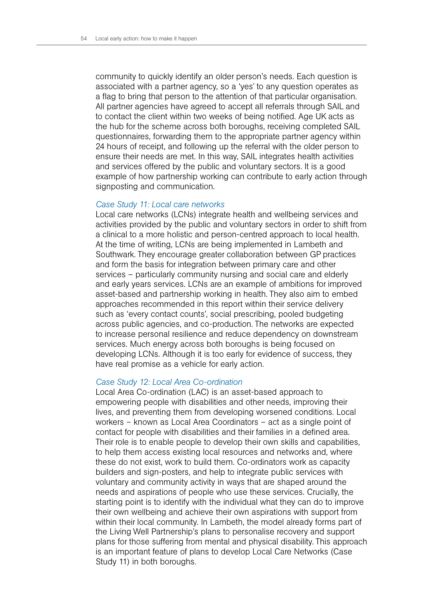community to quickly identify an older person's needs. Each question is associated with a partner agency, so a 'yes' to any question operates as a flag to bring that person to the attention of that particular organisation. All partner agencies have agreed to accept all referrals through SAIL and to contact the client within two weeks of being notified. Age UK acts as the hub for the scheme across both boroughs, receiving completed SAIL questionnaires, forwarding them to the appropriate partner agency within 24 hours of receipt, and following up the referral with the older person to ensure their needs are met. In this way, SAIL integrates health activities and services offered by the public and voluntary sectors. It is a good example of how partnership working can contribute to early action through signposting and communication.

#### *Case Study 11: Local care networks*

Local care networks (LCNs) integrate health and wellbeing services and activities provided by the public and voluntary sectors in order to shift from a clinical to a more holistic and person-centred approach to local health. At the time of writing, LCNs are being implemented in Lambeth and Southwark. They encourage greater collaboration between GP practices and form the basis for integration between primary care and other services – particularly community nursing and social care and elderly and early years services. LCNs are an example of ambitions for improved asset-based and partnership working in health. They also aim to embed approaches recommended in this report within their service delivery such as 'every contact counts', social prescribing, pooled budgeting across public agencies, and co-production. The networks are expected to increase personal resilience and reduce dependency on downstream services. Much energy across both boroughs is being focused on developing LCNs. Although it is too early for evidence of success, they have real promise as a vehicle for early action.

#### *Case Study 12: Local Area Co-ordination*

Local Area Co-ordination (LAC) is an asset-based approach to empowering people with disabilities and other needs, improving their lives, and preventing them from developing worsened conditions. Local workers – known as Local Area Coordinators – act as a single point of contact for people with disabilities and their families in a defined area. Their role is to enable people to develop their own skills and capabilities, to help them access existing local resources and networks and, where these do not exist, work to build them. Co-ordinators work as capacity builders and sign-posters, and help to integrate public services with voluntary and community activity in ways that are shaped around the needs and aspirations of people who use these services. Crucially, the starting point is to identify with the individual what they can do to improve their own wellbeing and achieve their own aspirations with support from within their local community. In Lambeth, the model already forms part of the Living Well Partnership's plans to personalise recovery and support plans for those suffering from mental and physical disability. This approach is an important feature of plans to develop Local Care Networks (Case Study 11) in both boroughs.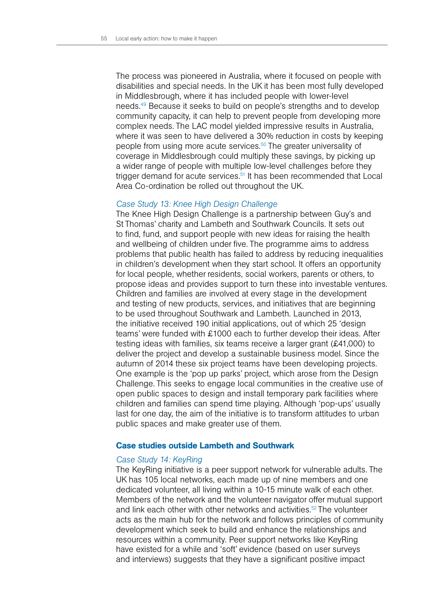The process was pioneered in Australia, where it focused on people with disabilities and special needs. In the UK it has been most fully developed in Middlesbrough, where it has included people with lower-level needs.49 Because it seeks to build on people's strengths and to develop community capacity, it can help to prevent people from developing more complex needs. The LAC model yielded impressive results in Australia, where it was seen to have delivered a 30% reduction in costs by keeping people from using more acute services.<sup>50</sup> The greater universality of coverage in Middlesbrough could multiply these savings, by picking up a wider range of people with multiple low-level challenges before they trigger demand for acute services.<sup>51</sup> It has been recommended that Local Area Co-ordination be rolled out throughout the UK.

#### *Case Study 13: Knee High Design Challenge*

The Knee High Design Challenge is a partnership between Guy's and St Thomas' charity and Lambeth and Southwark Councils. It sets out to find, fund, and support people with new ideas for raising the health and wellbeing of children under five. The programme aims to address problems that public health has failed to address by reducing inequalities in children's development when they start school. It offers an opportunity for local people, whether residents, social workers, parents or others, to propose ideas and provides support to turn these into investable ventures. Children and families are involved at every stage in the development and testing of new products, services, and initiatives that are beginning to be used throughout Southwark and Lambeth. Launched in 2013, the initiative received 190 initial applications, out of which 25 'design teams' were funded with £1000 each to further develop their ideas. After testing ideas with families, six teams receive a larger grant (£41,000) to deliver the project and develop a sustainable business model. Since the autumn of 2014 these six project teams have been developing projects. One example is the 'pop up parks' project, which arose from the Design Challenge. This seeks to engage local communities in the creative use of open public spaces to design and install temporary park facilities where children and families can spend time playing. Although 'pop-ups' usually last for one day, the aim of the initiative is to transform attitudes to urban public spaces and make greater use of them.

#### Case studies outside Lambeth and Southwark

# *Case Study 14: KeyRing*

The KeyRing initiative is a peer support network for vulnerable adults. The UK has 105 local networks, each made up of nine members and one dedicated volunteer, all living within a 10-15 minute walk of each other. Members of the network and the volunteer navigator offer mutual support and link each other with other networks and activities.<sup>52</sup> The volunteer acts as the main hub for the network and follows principles of community development which seek to build and enhance the relationships and resources within a community. Peer support networks like KeyRing have existed for a while and 'soft' evidence (based on user surveys and interviews) suggests that they have a significant positive impact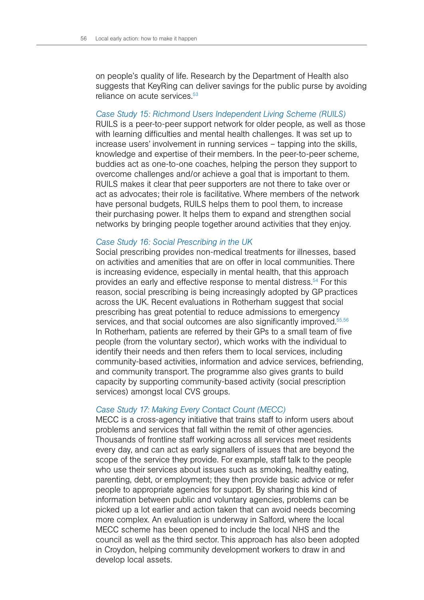on people's quality of life. Research by the Department of Health also suggests that KeyRing can deliver savings for the public purse by avoiding reliance on acute services.<sup>53</sup>

#### *Case Study 15: Richmond Users Independent Living Scheme (RUILS)*

RUILS is a peer-to-peer support network for older people, as well as those with learning difficulties and mental health challenges. It was set up to increase users' involvement in running services – tapping into the skills, knowledge and expertise of their members. In the peer-to-peer scheme, buddies act as one-to-one coaches, helping the person they support to overcome challenges and/or achieve a goal that is important to them. RUILS makes it clear that peer supporters are not there to take over or act as advocates; their role is facilitative. Where members of the network have personal budgets, RUILS helps them to pool them, to increase their purchasing power. It helps them to expand and strengthen social networks by bringing people together around activities that they enjoy.

#### *Case Study 16: Social Prescribing in the UK*

Social prescribing provides non-medical treatments for illnesses, based on activities and amenities that are on offer in local communities. There is increasing evidence, especially in mental health, that this approach provides an early and effective response to mental distress.54 For this reason, social prescribing is being increasingly adopted by GP practices across the UK. Recent evaluations in Rotherham suggest that social prescribing has great potential to reduce admissions to emergency services, and that social outcomes are also significantly improved.<sup>55,56</sup> In Rotherham, patients are referred by their GPs to a small team of five people (from the voluntary sector), which works with the individual to identify their needs and then refers them to local services, including community-based activities, information and advice services, befriending, and community transport. The programme also gives grants to build capacity by supporting community-based activity (social prescription services) amongst local CVS groups.

#### *Case Study 17: Making Every Contact Count (MECC)*

MECC is a cross-agency initiative that trains staff to inform users about problems and services that fall within the remit of other agencies. Thousands of frontline staff working across all services meet residents every day, and can act as early signallers of issues that are beyond the scope of the service they provide. For example, staff talk to the people who use their services about issues such as smoking, healthy eating, parenting, debt, or employment; they then provide basic advice or refer people to appropriate agencies for support. By sharing this kind of information between public and voluntary agencies, problems can be picked up a lot earlier and action taken that can avoid needs becoming more complex. An evaluation is underway in Salford, where the local MECC scheme has been opened to include the local NHS and the council as well as the third sector. This approach has also been adopted in Croydon, helping community development workers to draw in and develop local assets.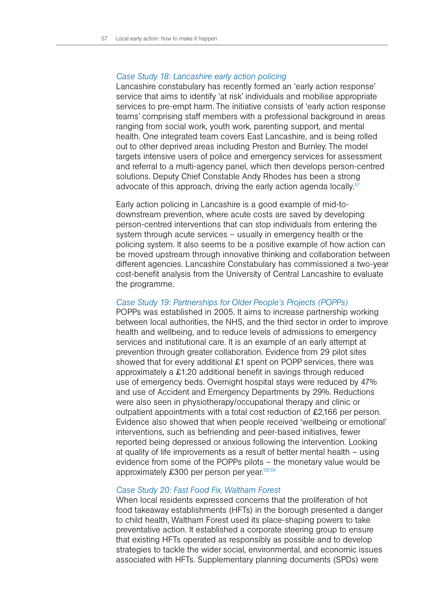# *Case Study 18: Lancashire early action policing*

Lancashire constabulary has recently formed an 'early action response' service that aims to identify 'at risk' individuals and mobilise appropriate services to pre-empt harm. The initiative consists of 'early action response teams' comprising staff members with a professional background in areas ranging from social work, youth work, parenting support, and mental health. One integrated team covers East Lancashire, and is being rolled out to other deprived areas including Preston and Burnley. The model targets intensive users of police and emergency services for assessment and referral to a multi-agency panel, which then develops person-centred solutions. Deputy Chief Constable Andy Rhodes has been a strong advocate of this approach, driving the early action agenda locally.<sup>57</sup>

Early action policing in Lancashire is a good example of mid-todownstream prevention, where acute costs are saved by developing person-centred interventions that can stop individuals from entering the system through acute services – usually in emergency health or the policing system. It also seems to be a positive example of how action can be moved upstream through innovative thinking and collaboration between different agencies. Lancashire Constabulary has commissioned a two-year cost-benefit analysis from the University of Central Lancashire to evaluate the programme.

#### *Case Study 19: Partnerships for Older People's Projects (POPPs)*

POPPs was established in 2005. It aims to increase partnership working between local authorities, the NHS, and the third sector in order to improve health and wellbeing, and to reduce levels of admissions to emergency services and institutional care. It is an example of an early attempt at prevention through greater collaboration. Evidence from 29 pilot sites showed that for every additional £1 spent on POPP services, there was approximately a £1.20 additional benefit in savings through reduced use of emergency beds. Overnight hospital stays were reduced by 47% and use of Accident and Emergency Departments by 29%. Reductions were also seen in physiotherapy/occupational therapy and clinic or outpatient appointments with a total cost reduction of £2,166 per person. Evidence also showed that when people received 'wellbeing or emotional' interventions, such as befriending and peer-based initiatives, fewer reported being depressed or anxious following the intervention. Looking at quality of life improvements as a result of better mental health – using evidence from some of the POPPs pilots – the monetary value would be approximately £300 per person per vear.<sup>58,59</sup>

#### *Case Study 20: Fast Food Fix, Waltham Forest*

When local residents expressed concerns that the proliferation of hot food takeaway establishments (HFTs) in the borough presented a danger to child health, Waltham Forest used its place-shaping powers to take preventative action. It established a corporate steering group to ensure that existing HFTs operated as responsibly as possible and to develop strategies to tackle the wider social, environmental, and economic issues associated with HFTs. Supplementary planning documents (SPDs) were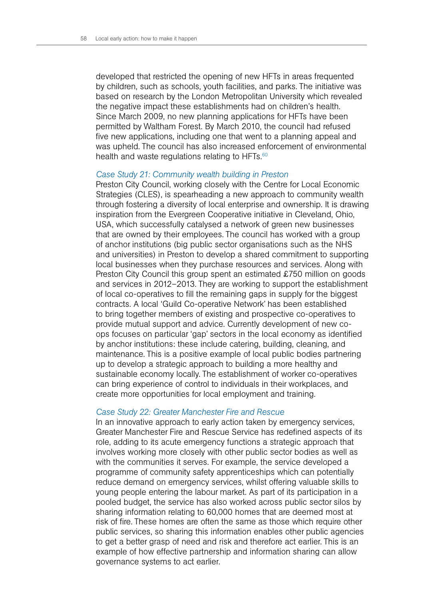developed that restricted the opening of new HFTs in areas frequented by children, such as schools, youth facilities, and parks. The initiative was based on research by the London Metropolitan University which revealed the negative impact these establishments had on children's health. Since March 2009, no new planning applications for HFTs have been permitted by Waltham Forest. By March 2010, the council had refused five new applications, including one that went to a planning appeal and was upheld. The council has also increased enforcement of environmental health and waste regulations relating to HFTs.<sup>60</sup>

#### *Case Study 21: Community wealth building in Preston*

Preston City Council, working closely with the Centre for Local Economic Strategies (CLES), is spearheading a new approach to community wealth through fostering a diversity of local enterprise and ownership. It is drawing inspiration from the Evergreen Cooperative initiative in Cleveland, Ohio, USA, which successfully catalysed a network of green new businesses that are owned by their employees. The council has worked with a group of anchor institutions (big public sector organisations such as the NHS and universities) in Preston to develop a shared commitment to supporting local businesses when they purchase resources and services. Along with Preston City Council this group spent an estimated £750 million on goods and services in 2012–2013. They are working to support the establishment of local co-operatives to fill the remaining gaps in supply for the biggest contracts. A local 'Guild Co-operative Network' has been established to bring together members of existing and prospective co-operatives to provide mutual support and advice. Currently development of new coops focuses on particular 'gap' sectors in the local economy as identified by anchor institutions: these include catering, building, cleaning, and maintenance. This is a positive example of local public bodies partnering up to develop a strategic approach to building a more healthy and sustainable economy locally. The establishment of worker co-operatives can bring experience of control to individuals in their workplaces, and create more opportunities for local employment and training.

#### *Case Study 22: Greater Manchester Fire and Rescue*

In an innovative approach to early action taken by emergency services, Greater Manchester Fire and Rescue Service has redefined aspects of its role, adding to its acute emergency functions a strategic approach that involves working more closely with other public sector bodies as well as with the communities it serves. For example, the service developed a programme of community safety apprenticeships which can potentially reduce demand on emergency services, whilst offering valuable skills to young people entering the labour market. As part of its participation in a pooled budget, the service has also worked across public sector silos by sharing information relating to 60,000 homes that are deemed most at risk of fire. These homes are often the same as those which require other public services, so sharing this information enables other public agencies to get a better grasp of need and risk and therefore act earlier. This is an example of how effective partnership and information sharing can allow governance systems to act earlier.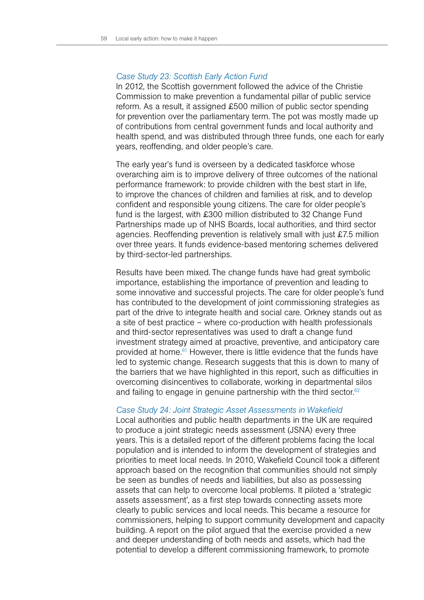# *Case Study 23: Scottish Early Action Fund*

In 2012, the Scottish government followed the advice of the Christie Commission to make prevention a fundamental pillar of public service reform. As a result, it assigned £500 million of public sector spending for prevention over the parliamentary term. The pot was mostly made up of contributions from central government funds and local authority and health spend, and was distributed through three funds, one each for early years, reoffending, and older people's care.

The early year's fund is overseen by a dedicated taskforce whose overarching aim is to improve delivery of three outcomes of the national performance framework: to provide children with the best start in life, to improve the chances of children and families at risk, and to develop confident and responsible young citizens. The care for older people's fund is the largest, with £300 million distributed to 32 Change Fund Partnerships made up of NHS Boards, local authorities, and third sector agencies. Reoffending prevention is relatively small with just £7.5 million over three years. It funds evidence-based mentoring schemes delivered by third-sector-led partnerships.

Results have been mixed. The change funds have had great symbolic importance, establishing the importance of prevention and leading to some innovative and successful projects. The care for older people's fund has contributed to the development of joint commissioning strategies as part of the drive to integrate health and social care. Orkney stands out as a site of best practice – where co-production with health professionals and third-sector representatives was used to draft a change fund investment strategy aimed at proactive, preventive, and anticipatory care provided at home.<sup>61</sup> However, there is little evidence that the funds have led to systemic change. Research suggests that this is down to many of the barriers that we have highlighted in this report, such as difficulties in overcoming disincentives to collaborate, working in departmental silos and failing to engage in genuine partnership with the third sector. $62$ 

#### *Case Study 24: Joint Strategic Asset Assessments in Wakefield*

Local authorities and public health departments in the UK are required to produce a joint strategic needs assessment (JSNA) every three years. This is a detailed report of the different problems facing the local population and is intended to inform the development of strategies and priorities to meet local needs. In 2010, Wakefield Council took a different approach based on the recognition that communities should not simply be seen as bundles of needs and liabilities, but also as possessing assets that can help to overcome local problems. It piloted a 'strategic assets assessment', as a first step towards connecting assets more clearly to public services and local needs. This became a resource for commissioners, helping to support community development and capacity building. A report on the pilot argued that the exercise provided a new and deeper understanding of both needs and assets, which had the potential to develop a different commissioning framework, to promote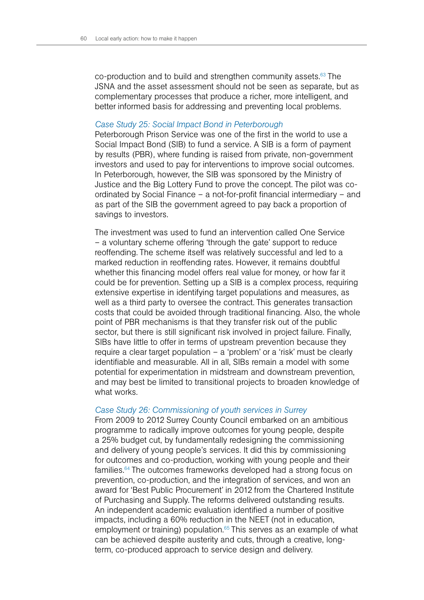co-production and to build and strengthen community assets.<sup>63</sup> The JSNA and the asset assessment should not be seen as separate, but as complementary processes that produce a richer, more intelligent, and better informed basis for addressing and preventing local problems.

#### *Case Study 25: Social Impact Bond in Peterborough*

Peterborough Prison Service was one of the first in the world to use a Social Impact Bond (SIB) to fund a service. A SIB is a form of payment by results (PBR), where funding is raised from private, non-government investors and used to pay for interventions to improve social outcomes. In Peterborough, however, the SIB was sponsored by the Ministry of Justice and the Big Lottery Fund to prove the concept. The pilot was coordinated by Social Finance – a not-for-profit financial intermediary – and as part of the SIB the government agreed to pay back a proportion of savings to investors.

The investment was used to fund an intervention called One Service – a voluntary scheme offering 'through the gate' support to reduce reoffending. The scheme itself was relatively successful and led to a marked reduction in reoffending rates. However, it remains doubtful whether this financing model offers real value for money, or how far it could be for prevention. Setting up a SIB is a complex process, requiring extensive expertise in identifying target populations and measures, as well as a third party to oversee the contract. This generates transaction costs that could be avoided through traditional financing. Also, the whole point of PBR mechanisms is that they transfer risk out of the public sector, but there is still significant risk involved in project failure. Finally, SIBs have little to offer in terms of upstream prevention because they require a clear target population – a 'problem' or a 'risk' must be clearly identifiable and measurable. All in all, SIBs remain a model with some potential for experimentation in midstream and downstream prevention, and may best be limited to transitional projects to broaden knowledge of what works.

#### *Case Study 26: Commissioning of youth services in Surrey*

From 2009 to 2012 Surrey County Council embarked on an ambitious programme to radically improve outcomes for young people, despite a 25% budget cut, by fundamentally redesigning the commissioning and delivery of young people's services. It did this by commissioning for outcomes and co-production, working with young people and their families.64 The outcomes frameworks developed had a strong focus on prevention, co-production, and the integration of services, and won an award for 'Best Public Procurement' in 2012 from the Chartered Institute of Purchasing and Supply. The reforms delivered outstanding results. An independent academic evaluation identified a number of positive impacts, including a 60% reduction in the NEET (not in education, employment or training) population.<sup>65</sup> This serves as an example of what can be achieved despite austerity and cuts, through a creative, longterm, co-produced approach to service design and delivery.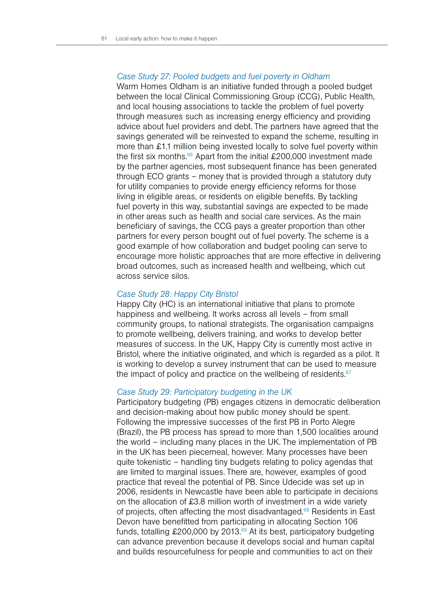# *Case Study 27: Pooled budgets and fuel poverty in Oldham*

Warm Homes Oldham is an initiative funded through a pooled budget between the local Clinical Commissioning Group (CCG), Public Health, and local housing associations to tackle the problem of fuel poverty through measures such as increasing energy efficiency and providing advice about fuel providers and debt. The partners have agreed that the savings generated will be reinvested to expand the scheme, resulting in more than £1.1 million being invested locally to solve fuel poverty within the first six months.<sup>66</sup> Apart from the initial £200,000 investment made by the partner agencies, most subsequent finance has been generated through ECO grants – money that is provided through a statutory duty for utility companies to provide energy efficiency reforms for those living in eligible areas, or residents on eligible benefits. By tackling fuel poverty in this way, substantial savings are expected to be made in other areas such as health and social care services. As the main beneficiary of savings, the CCG pays a greater proportion than other partners for every person bought out of fuel poverty. The scheme is a good example of how collaboration and budget pooling can serve to encourage more holistic approaches that are more effective in delivering broad outcomes, such as increased health and wellbeing, which cut across service silos.

#### *Case Study 28: Happy City Bristol*

Happy City (HC) is an international initiative that plans to promote happiness and wellbeing. It works across all levels – from small community groups, to national strategists. The organisation campaigns to promote wellbeing, delivers training, and works to develop better measures of success. In the UK, Happy City is currently most active in Bristol, where the initiative originated, and which is regarded as a pilot. It is working to develop a survey instrument that can be used to measure the impact of policy and practice on the wellbeing of residents. $67$ 

#### *Case Study 29: Participatory budgeting in the UK*

Participatory budgeting (PB) engages citizens in democratic deliberation and decision-making about how public money should be spent. Following the impressive successes of the first PB in Porto Alegre (Brazil), the PB process has spread to more than 1,500 localities around the world – including many places in the UK. The implementation of PB in the UK has been piecemeal, however. Many processes have been quite tokenistic – handling tiny budgets relating to policy agendas that are limited to marginal issues. There are, however, examples of good practice that reveal the potential of PB. Since Udecide was set up in 2006, residents in Newcastle have been able to participate in decisions on the allocation of £3.8 million worth of investment in a wide variety of projects, often affecting the most disadvantaged.<sup>68</sup> Residents in East Devon have benefitted from participating in allocating Section 106 funds, totalling £200,000 by 2013.69 At its best, participatory budgeting can advance prevention because it develops social and human capital and builds resourcefulness for people and communities to act on their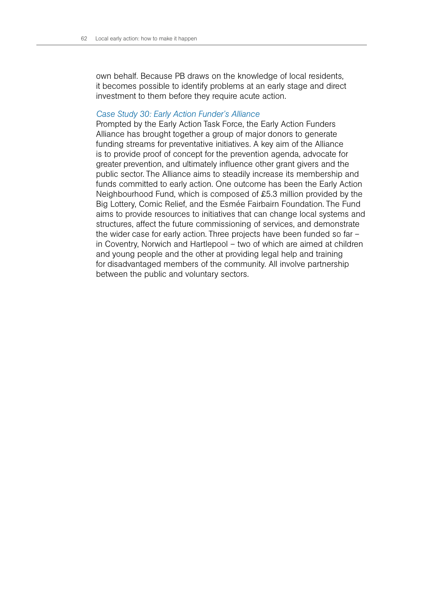own behalf. Because PB draws on the knowledge of local residents, it becomes possible to identify problems at an early stage and direct investment to them before they require acute action.

#### *Case Study 30: Early Action Funder's Alliance*

Prompted by the Early Action Task Force, the Early Action Funders Alliance has brought together a group of major donors to generate funding streams for preventative initiatives. A key aim of the Alliance is to provide proof of concept for the prevention agenda, advocate for greater prevention, and ultimately influence other grant givers and the public sector. The Alliance aims to steadily increase its membership and funds committed to early action. One outcome has been the Early Action Neighbourhood Fund, which is composed of £5.3 million provided by the Big Lottery, Comic Relief, and the Esmée Fairbairn Foundation. The Fund aims to provide resources to initiatives that can change local systems and structures, affect the future commissioning of services, and demonstrate the wider case for early action. Three projects have been funded so far – in Coventry, Norwich and Hartlepool – two of which are aimed at children and young people and the other at providing legal help and training for disadvantaged members of the community. All involve partnership between the public and voluntary sectors.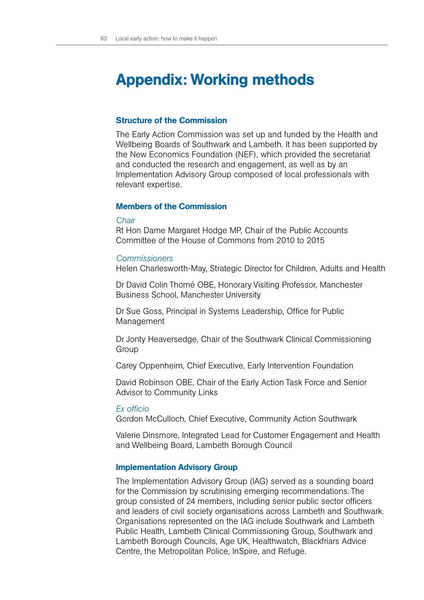# Appendix: Working methods

# Structure of the Commission

The Early Action Commission was set up and funded by the Health and Wellbeing Boards of Southwark and Lambeth. It has been supported by the New Economics Foundation (NEF), which provided the secretariat and conducted the research and engagement, as well as by an Implementation Advisory Group composed of local professionals with relevant expertise.

# Members of the Commission

#### *Chair*

Rt Hon Dame Margaret Hodge MP, Chair of the Public Accounts Committee of the House of Commons from 2010 to 2015

#### *Commissioners*

Helen Charlesworth-May, Strategic Director for Children, Adults and Health

Dr David Colin Thomé OBE, Honorary Visiting Professor, Manchester Business School, Manchester University

Dr Sue Goss, Principal in Systems Leadership, Office for Public Management

Dr Jonty Heaversedge, Chair of the Southwark Clinical Commissioning Group

Carey Oppenheim, Chief Executive, Early Intervention Foundation

David Robinson OBE, Chair of the Early Action Task Force and Senior Advisor to Community Links

#### *Ex officio*

Gordon McCulloch, Chief Executive, Community Action Southwark

Valerie Dinsmore, Integrated Lead for Customer Engagement and Health and Wellbeing Board, Lambeth Borough Council

#### Implementation Advisory Group

The Implementation Advisory Group (IAG) served as a sounding board for the Commission by scrutinising emerging recommendations. The group consisted of 24 members, including senior public sector officers and leaders of civil society organisations across Lambeth and Southwark. Organisations represented on the IAG include Southwark and Lambeth Public Health, Lambeth Clinical Commissioning Group, Southwark and Lambeth Borough Councils, Age UK, Healthwatch, Blackfriars Advice Centre, the Metropolitan Police, InSpire, and Refuge.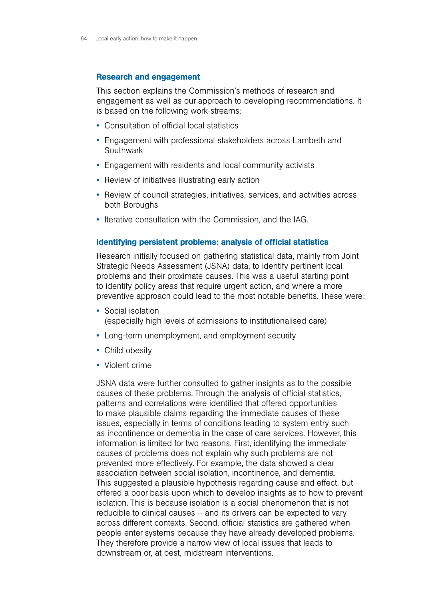# Research and engagement

This section explains the Commission's methods of research and engagement as well as our approach to developing recommendations. It is based on the following work-streams:

- Consultation of official local statistics
- Engagement with professional stakeholders across Lambeth and Southwark
- Engagement with residents and local community activists
- Review of initiatives illustrating early action
- Review of council strategies, initiatives, services, and activities across both Boroughs
- Iterative consultation with the Commission, and the IAG.

# Identifying persistent problems: analysis of official statistics

Research initially focused on gathering statistical data, mainly from Joint Strategic Needs Assessment (JSNA) data, to identify pertinent local problems and their proximate causes. This was a useful starting point to identify policy areas that require urgent action, and where a more preventive approach could lead to the most notable benefits. These were:

- Social isolation (especially high levels of admissions to institutionalised care)
- Long-term unemployment, and employment security
- Child obesity
- Violent crime

JSNA data were further consulted to gather insights as to the possible causes of these problems. Through the analysis of official statistics, patterns and correlations were identified that offered opportunities to make plausible claims regarding the immediate causes of these issues, especially in terms of conditions leading to system entry such as incontinence or dementia in the case of care services. However, this information is limited for two reasons. First, identifying the immediate causes of problems does not explain why such problems are not prevented more effectively. For example, the data showed a clear association between social isolation, incontinence, and dementia. This suggested a plausible hypothesis regarding cause and effect, but offered a poor basis upon which to develop insights as to how to prevent isolation. This is because isolation is a social phenomenon that is not reducible to clinical causes – and its drivers can be expected to vary across different contexts. Second, official statistics are gathered when people enter systems because they have already developed problems. They therefore provide a narrow view of local issues that leads to downstream or, at best, midstream interventions.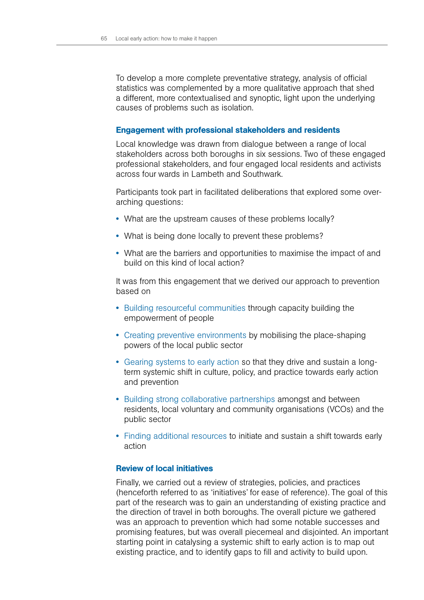To develop a more complete preventative strategy, analysis of official statistics was complemented by a more qualitative approach that shed a different, more contextualised and synoptic, light upon the underlying causes of problems such as isolation.

#### Engagement with professional stakeholders and residents

Local knowledge was drawn from dialogue between a range of local stakeholders across both boroughs in six sessions. Two of these engaged professional stakeholders, and four engaged local residents and activists across four wards in Lambeth and Southwark.

Participants took part in facilitated deliberations that explored some overarching questions:

- What are the upstream causes of these problems locally?
- What is being done locally to prevent these problems?
- What are the barriers and opportunities to maximise the impact of and build on this kind of local action?

It was from this engagement that we derived our approach to prevention based on

- Building resourceful communities through capacity building the empowerment of people
- Creating preventive environments by mobilising the place-shaping powers of the local public sector
- Gearing systems to early action so that they drive and sustain a longterm systemic shift in culture, policy, and practice towards early action and prevention
- Building strong collaborative partnerships amongst and between residents, local voluntary and community organisations (VCOs) and the public sector
- Finding additional resources to initiate and sustain a shift towards early action

# Review of local initiatives

Finally, we carried out a review of strategies, policies, and practices (henceforth referred to as 'initiatives' for ease of reference). The goal of this part of the research was to gain an understanding of existing practice and the direction of travel in both boroughs. The overall picture we gathered was an approach to prevention which had some notable successes and promising features, but was overall piecemeal and disjointed. An important starting point in catalysing a systemic shift to early action is to map out existing practice, and to identify gaps to fill and activity to build upon.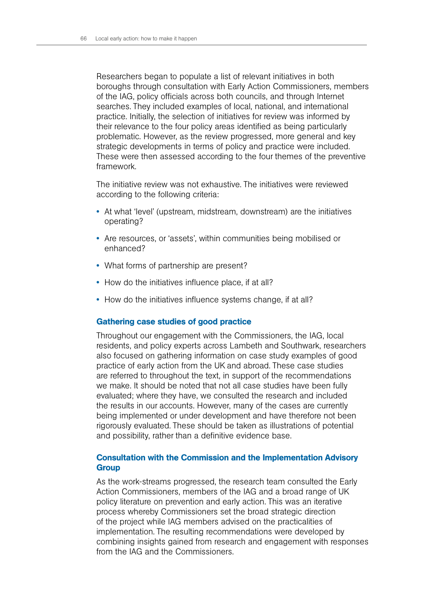Researchers began to populate a list of relevant initiatives in both boroughs through consultation with Early Action Commissioners, members of the IAG, policy officials across both councils, and through Internet searches. They included examples of local, national, and international practice. Initially, the selection of initiatives for review was informed by their relevance to the four policy areas identified as being particularly problematic. However, as the review progressed, more general and key strategic developments in terms of policy and practice were included. These were then assessed according to the four themes of the preventive framework.

The initiative review was not exhaustive. The initiatives were reviewed according to the following criteria:

- At what 'level' (upstream, midstream, downstream) are the initiatives operating?
- Are resources, or 'assets', within communities being mobilised or enhanced?
- What forms of partnership are present?
- How do the initiatives influence place, if at all?
- How do the initiatives influence systems change, if at all?

#### Gathering case studies of good practice

Throughout our engagement with the Commissioners, the IAG, local residents, and policy experts across Lambeth and Southwark, researchers also focused on gathering information on case study examples of good practice of early action from the UK and abroad. These case studies are referred to throughout the text, in support of the recommendations we make. It should be noted that not all case studies have been fully evaluated; where they have, we consulted the research and included the results in our accounts. However, many of the cases are currently being implemented or under development and have therefore not been rigorously evaluated. These should be taken as illustrations of potential and possibility, rather than a definitive evidence base.

# Consultation with the Commission and the Implementation Advisory **Group**

As the work-streams progressed, the research team consulted the Early Action Commissioners, members of the IAG and a broad range of UK policy literature on prevention and early action. This was an iterative process whereby Commissioners set the broad strategic direction of the project while IAG members advised on the practicalities of implementation. The resulting recommendations were developed by combining insights gained from research and engagement with responses from the IAG and the Commissioners.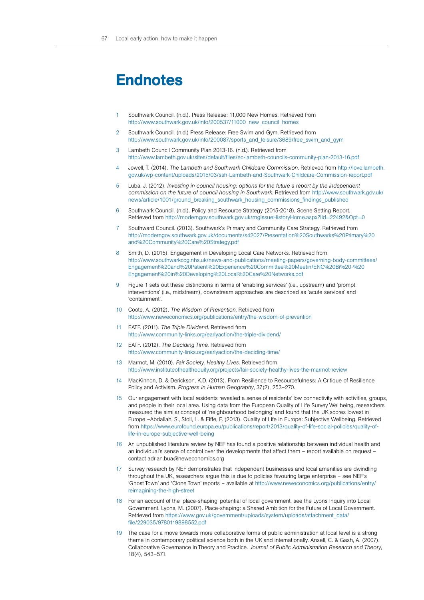# Endnotes

- 1 Southwark Council. (n.d.). Press Release: 11,000 New Homes. Retrieved from http://www.southwark.gov.uk/info/200537/11000\_new\_council\_homes
- 2 Southwark Council. (n.d.) Press Release: Free Swim and Gym. Retrieved from http://www.southwark.gov.uk/info/200087/sports\_and\_leisure/3689/free\_swim\_and\_gym
- 3 Lambeth Council Community Plan 2013-16. (n.d.). Retrieved from <http://www.lambeth.gov.uk/sites/default/files/ec-lambeth-councils-community-plan-2013-16.pdf>
- 4 Jowell, T. (2014). *The Lambeth and Southwark Childcare Commission*. Retrieved from [http://love.lambeth.](http://love.lambeth.gov.uk/wp-content/uploads/2015/03/ssh-Lambeth-and-Southwark-Childcare-Commission-report.pdf) [gov.uk/wp-content/uploads/2015/03/ssh-Lambeth-and-Southwark-Childcare-Commission-report.pdf](http://love.lambeth.gov.uk/wp-content/uploads/2015/03/ssh-Lambeth-and-Southwark-Childcare-Commission-report.pdf)
- 5 Luba, J. (2012). *Investing in council housing: options for the future a report by the independent commission on the future of council housing in Southwark*. Retrieved from [http://www.southwark.gov.uk/](http://www.southwark.gov.uk/news/article/1001/ground_breaking_southwark_housing_commissions_findings_published) [news/article/1001/ground\\_breaking\\_southwark\\_housing\\_commissions\\_findings\\_published](http://www.southwark.gov.uk/news/article/1001/ground_breaking_southwark_housing_commissions_findings_published)
- 6 Southwark Council. (n.d.). Policy and Resource Strategy (2015-2018), Scene Setting Report. Retrieved from http://moderngov.southwark.gov.uk/mglssueHistoryHome.aspx?IId=22492&Opt=0
- 7 Southward Council. (2013). Southwark's Primary and Community Care Strategy. Retrieved from [http://moderngov.southwark.gov.uk/documents/s42027/Presentation%20Southwarks%20Primary%20](http://moderngov.southwark.gov.uk/documents/s42027/Presentation%20Southwarks%20Primary%20and%20Community%20Care%20Strategy.pdf) [and%20Community%20Care%20Strategy.pdf](http://moderngov.southwark.gov.uk/documents/s42027/Presentation%20Southwarks%20Primary%20and%20Community%20Care%20Strategy.pdf)
- 8 Smith, D. (2015). Engagement in Developing Local Care Networks. Retrieved from [http://www.southwarkccg.nhs.uk/news-and-publications/meeting-papers/governing-body-committees/](http://www.southwarkccg.nhs.uk/news-and-publications/meeting-papers/governing-body-committees/Engagement%20and%20Patient%20Experience%20Committee%20Meetin/ENC%20Bi%20-%20Engagement%20in%20Developing%20Local%20Care%20Networks.pdf) [Engagement%20and%20Patient%20Experience%20Committee%20Meetin/ENC%20Bi%20-%20](http://www.southwarkccg.nhs.uk/news-and-publications/meeting-papers/governing-body-committees/Engagement%20and%20Patient%20Experience%20Committee%20Meetin/ENC%20Bi%20-%20Engagement%20in%20Developing%20Local%20Care%20Networks.pdf) [Engagement%20in%20Developing%20Local%20Care%20Networks.pdf](http://www.southwarkccg.nhs.uk/news-and-publications/meeting-papers/governing-body-committees/Engagement%20and%20Patient%20Experience%20Committee%20Meetin/ENC%20Bi%20-%20Engagement%20in%20Developing%20Local%20Care%20Networks.pdf)
- 9 Figure 1 sets out these distinctions in terms of 'enabling services' (i.e., upstream) and 'prompt interventions' (i.e., midstream), downstream approaches are described as 'acute services' and 'containment'.
- 10 Coote, A. (2012). *The Wisdom of Prevention*. Retrieved from <http://www.neweconomics.org/publications/entry/the-wisdom-of-prevention>
- 11 EATF. (2011). *The Triple Dividend*. Retrieved from <http://www.community-links.org/earlyaction/the-triple-dividend/>
- 12 EATF. (2012). *The Deciding Time*. Retrieved from <http://www.community-links.org/earlyaction/the-deciding-time/>
- 13 Marmot, M. (2010). *Fair Society, Healthy Lives*. Retrieved from <http://www.instituteofhealthequity.org/projects/fair-society-healthy-lives-the-marmot-review>
- 14 MacKinnon, D. & Derickson, K.D. (2013). From Resilience to Resourcefulness: A Critique of Resilience Policy and Activism. *Progress in Human Geography*, 37(2), 253–270.
- 15 Our engagement with local residents revealed a sense of residents' low connectivity with activities, groups, and people in their local area. Using data from the European Quality of Life Survey Wellbeing, researchers measured the similar concept of 'neighbourhood belonging' and found that the UK scores lowest in Europe –Abdallah, S., Stoll, L. & Eiffe, F. (2013). Quality of Life in Europe: Subjective Wellbeing. Retrieved from [https://www.eurofound.europa.eu/publications/report/2013/quality-of-life-social-policies/quality-of](https://www.eurofound.europa.eu/publications/report/2013/quality-of-life-social-policies/quality-of-life-in-europe-subjective-well-being)[life-in-europe-subjective-well-being](https://www.eurofound.europa.eu/publications/report/2013/quality-of-life-social-policies/quality-of-life-in-europe-subjective-well-being)
- 16 An unpublished literature review by NEF has found a positive relationship between individual health and an individual's sense of control over the developments that affect them – report available on request – contact [adrian.bua@neweconomics.org](mailto:adrian.bua@neweconomics.org)
- 17 Survey research by NEF demonstrates that independent businesses and local amenities are dwindling throughout the UK, researchers argue this is due to policies favouring large enterprise – see NEF's 'Ghost Town' and 'Clone Town' reports – available at [http://www.neweconomics.org/publications/entry/](http://www.neweconomics.org/publications/entry/reimagining-the-high-street) [reimagining-the-high-street](http://www.neweconomics.org/publications/entry/reimagining-the-high-street)
- 18 For an account of the 'place-shaping' potential of local government, see the Lyons Inquiry into Local Government. Lyons, M. (2007). Place-shaping: a Shared Ambition for the Future of Local Government. Retrieved from [https://www.gov.uk/government/uploads/system/uploads/attachment\\_data/](https://www.gov.uk/government/uploads/system/uploads/attachment_data/file/229035/9780119898552.pdf) [file/229035/9780119898552.pdf](https://www.gov.uk/government/uploads/system/uploads/attachment_data/file/229035/9780119898552.pdf)
- 19 The case for a move towards more collaborative forms of public administration at local level is a strong theme in contemporary political science both in the UK and internationally. Ansell, C. & Gash, A. (2007). Collaborative Governance in Theory and Practice. *Journal of Public Administration Research and Theory*, 18(4), 543–571.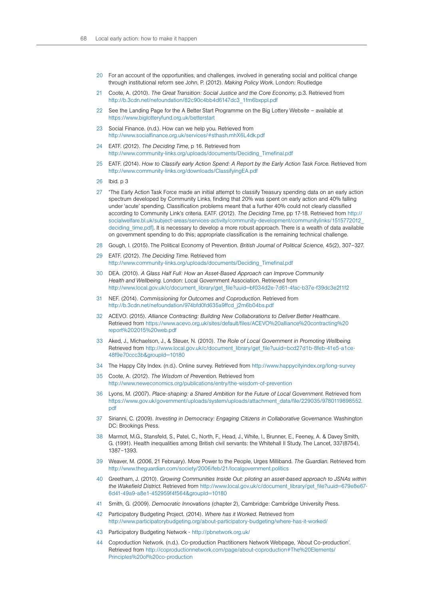- 20 For an account of the opportunities, and challenges, involved in generating social and political change through institutional reform see John, P. (2012). *Making Policy Work*. London: Routledge
- 21 Coote, A. (2010). *The Great Transition: Social Justice and the Core Economy*, p.3. Retrieved from [http://b.3cdn.net/nefoundation/82c90c4bb4d6147dc3\\_1fm6bxppl.pdf](http://b.3cdn.net/nefoundation/82c90c4bb4d6147dc3_1fm6bxppl.pdf)
- 22 See the Landing Page for the A Better Start Programme on the Big Lottery Website available at <https://www.biglotteryfund.org.uk/betterstart>
- 23 Social Finance. (n.d.). How can we help you. Retrieved from http://www.socialfinance.org.uk/services/#sthash.mhX6L4dk.pdf
- 24 EATF. (2012). *The Deciding Time*, p 16. Retrieved from [http://www.community-links.org/uploads/documents/Deciding\\_Timefinal.pdf](http://www.community-links.org/uploads/documents/Deciding_Timefinal.pdf)
- 25 EATF. (2014). *How to Classify early Action Spend: A Report by the Early Action Task Force*. Retrieved from <http://www.community-links.org/downloads/ClassifyingEA.pdf>
- 26 Ibid. p 3
- 27 "The Early Action Task Force made an initial attempt to classify Treasury spending data on an early action spectrum developed by Community Links, finding that 20% was spent on early action and 40% falling under 'acute' spending. Classification problems meant that a further 40% could not clearly classified according to Community Link's criteria. EATF. (2012). *The Deciding Time*, pp 17-18. Retrieved from [http://](http://socialwelfare.bl.uk/subject-areas/services-activity/community-development/communitylinks/1515772012_deciding_time.pdf) [socialwelfare.bl.uk/subject-areas/services-activity/community-development/communitylinks/1515772012\\_](http://socialwelfare.bl.uk/subject-areas/services-activity/community-development/communitylinks/1515772012_deciding_time.pdf) deciding time.pdf]. It is necessary to develop a more robust approach. There is a wealth of data available on government spending to do this; appropriate classification is the remaining technical challenge.
- 28 Gough, I. (2015). The Political Economy of Prevention. *British Journal of Political Science,* 45(2), 307–327.
- 29 EATF. (2012). *The Deciding Time*. Retrieved from [http://www.community-links.org/uploads/documents/Deciding\\_Timefinal.pdf](http://www.community-links.org/uploads/documents/Deciding_Timefinal.pdf)
- 30 DEA. (2010). *A Glass Half Full: How an Asset-Based Approach can Improve Community Health and Wellbeing*. London: Local Government Association. Retrieved from [http://www.local.gov.uk/c/document\\_library/get\\_file?uuid=bf034d2e-7d61-4fac-b37e-f39dc3e2f1f2](http://www.local.gov.uk/c/document_library/get_file?uuid=bf034d2e-7d61-4fac-b37e-f39dc3e2f1f2)
- 31 NEF. (2014). *Commissioning for Outcomes and Coproduction*. Retrieved from [http://b.3cdn.net/nefoundation/974bfd0fd635a9ffcd\\_j2m6b04bs.pdf](http://b.3cdn.net/nefoundation/974bfd0fd635a9ffcd_j2m6b04bs.pdf)
- 32 ACEVO. (2015). *Alliance Contracting: Building New Collaborations to Deliver Better Healthcare*. Retrieved from [https://www.acevo.org.uk/sites/default/files/ACEVO%20alliance%20contracting%20](https://www.acevo.org.uk/sites/default/files/ACEVO%20alliance%20contracting%20report%202015%20web.pdf) [report%202015%20web.pdf](https://www.acevo.org.uk/sites/default/files/ACEVO%20alliance%20contracting%20report%202015%20web.pdf)
- 33 Aked, J., Michaelson, J., & Steuer, N. (2010). *The Role of Local Government in Promoting Wellbeing.* Retrieved from [http://www.local.gov.uk/c/document\\_library/get\\_file?uuid=bcd27d1b-8feb-41e5-a1ce-](http://www.local.gov.uk/c/document_library/get_file?uuid=bcd27d1b-8feb-41e5-a1ce-48f9e70ccc3b&groupId=10180)[48f9e70ccc3b&groupId=10180](http://www.local.gov.uk/c/document_library/get_file?uuid=bcd27d1b-8feb-41e5-a1ce-48f9e70ccc3b&groupId=10180)
- 34 The Happy City Index. (n.d.). Online survey. Retrieved from <http://www.happycityindex.org/long-survey>
- 35 Coote, A. (2012). *The Wisdom of Prevention*. Retrieved from <http://www.neweconomics.org/publications/entry/the-wisdom-of-prevention>
- 36 Lyons, M. (2007). *Place-shaping: a Shared Ambition for the Future of Local Government*. Retrieved from [https://www.gov.uk/government/uploads/system/uploads/attachment\\_data/file/229035/9780119898552.](https://www.gov.uk/government/uploads/system/uploads/attachment_data/file/229035/9780119898552.pdf) [pdf](https://www.gov.uk/government/uploads/system/uploads/attachment_data/file/229035/9780119898552.pdf)
- 37 Sirianni, C. (2009). *Investing in Democracy: Engaging Citizens in Collaborative Governance*. Washington DC: Brookings Press.
- 38 Marmot, M.G., Stansfeld, S., Patel, C., North, F., Head, J., White, I., Brunner, E., Feeney, A. & Davey Smith, G. (1991). Health inequalities among British civil servants: the Whitehall II Study. The Lancet, 337(8754), 1387–1393.
- 39 Weaver, M. (2006, 21 February). More Power to the People, Urges Milliband. *The Guardian*. Retrieved from <http://www.theguardian.com/society/2006/feb/21/localgovernment.politics>
- 40 Greetham, J. (2010). *Growing Communities Inside Out: piloting an asset-based approach to JSNAs within the Wakefield District*. Retrieved from [http://www.local.gov.uk/c/document\\_library/get\\_file?uuid=679e8e67-](http://www.local.gov.uk/c/document_library/get_file?uuid=679e8e67-6d41-49a9-a8e1-452959f4f564&groupId=10180) [6d41-49a9-a8e1-452959f4f564&groupId=10180](http://www.local.gov.uk/c/document_library/get_file?uuid=679e8e67-6d41-49a9-a8e1-452959f4f564&groupId=10180)
- 41 Smith, G. (2009). *Democratic Innovations* (chapter 2), Cambridge: Cambridge University Press.
- 42 Participatory Budgeting Project. (2014). *Where has it Worked*. Retrieved from <http://www.participatorybudgeting.org/about-participatory-budgeting/where-has-it-worked/>
- 43 Participatory Budgeting Network <http://pbnetwork.org.uk/>
- 44 Coproduction Network. (n.d.). Co-production Practitioners Network Webpage, 'About Co-production'. Retrieved from http://coproductionnetwork.com/page/about-coproduction#The%20Elements/ Principles%20of%20co-production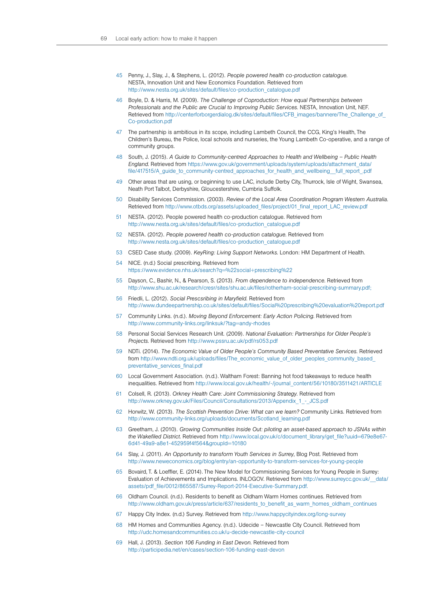- 45 Penny, J., Slay, J., & Stephens, L. (2012). *People powered health co-production catalogue*. NESTA, Innovation Unit and New Economics Foundation. Retrieved from [http://www.nesta.org.uk/sites/default/files/co-production\\_catalogue.pdf](http://www.nesta.org.uk/sites/default/files/co-production_catalogue.pdf)
- 46 Boyle, D. & Harris, M. (2009). *The Challenge of Coproduction: How equal Partnerships between Professionals and the Public are Crucial to Improving Public Services.* NESTA, Innovation Unit, NEF. Retrieved from [http://centerforborgerdialog.dk/sites/default/files/CFB\\_images/bannere/The\\_Challenge\\_of\\_](http://centerforborgerdialog.dk/sites/default/files/CFB_images/bannere/The_Challenge_of_Co-production.pdf) [Co-production.pdf](http://centerforborgerdialog.dk/sites/default/files/CFB_images/bannere/The_Challenge_of_Co-production.pdf)
- 47 The partnership is ambitious in its scope, including Lambeth Council, the CCG, King's Health, The Children's Bureau, the Police, local schools and nurseries, the Young Lambeth Co-operative, and a range of community groups.
- 48 South, J. (2015). *A Guide to Community-centred Approaches to Health and Wellbeing Public Health England*. Retrieved from https://www.gov.uk/government/uploads/system/uploads/attachment\_data/ file/417515/A guide to community-centred approaches for health and wellbeing full report .pdf
- Other areas that are using, or beginning to use LAC, include Derby City, Thurrock, Isle of Wight, Swansea, Neath Port Talbot, Derbyshire, Gloucestershire, Cumbria Suffolk.
- 50 Disability Services Commission. (2003). *Review of the Local Area Coordination Program Western Australia*. Retrieved from http://www.otbds.org/assets/uploaded\_files/project/01\_final\_report\_LAC\_review.pdf
- 51 NESTA. (2012). People powered health co-production catalogue. Retrieved from [http://www.nesta.org.uk/sites/default/files/co-production\\_catalogue.pdf](http://www.nesta.org.uk/sites/default/files/co-production_catalogue.pdf)
- 52 NESTA. (2012). *People powered health co-production catalogue*. Retrieved from [http://www.nesta.org.uk/sites/default/files/co-production\\_catalogue.pdf](http://www.nesta.org.uk/sites/default/files/co-production_catalogue.pdf)
- 53 CSED Case study. (2009). *KeyRing: Living Support Networks*. London: HM Department of Health.
- 54 NICE. (n.d.) Social prescribing. Retrieved from <https://www.evidence.nhs.uk/search?q=%22social+prescribing%22>
- 55 Dayson, C., Bashir, N., & Pearson, S. (2013). *From dependence to independence*. Retrieved from [http://www.shu.ac.uk/research/cresr/sites/shu.ac.uk/files/rotherham-social-prescribing-summary.pdf;](http://www.shu.ac.uk/research/cresr/sites/shu.ac.uk/files/rotherham-social-prescribing-summary.pdf)
- 56 Friedli, L. (2012). *Social Prescsribing in Maryfield*. Retrieved from <http://www.dundeepartnership.co.uk/sites/default/files/Social%20prescribing%20evaluation%20report.pdf>
- 57 Community Links. (n.d.). *Moving Beyond Enforcement: Early Action Policing*. Retrieved from <http://www.community-links.org/linksuk/?tag=andy-rhodes>
- 58 Personal Social Services Research Unit. (2009). *National Evaluation: Partnerships for Older People's Projects*. Retrieved from <http://www.pssru.ac.uk/pdf/rs053.pdf>
- 59 NDTi. (2014). *The Economic Value of Older People's Community Based Preventative Services*. Retrieved from http://www.ndti.org.uk/uploads/files/The\_economic\_value\_of\_older\_peoples\_community\_based [preventative\\_services\\_final.pdf](http://www.ndti.org.uk/uploads/files/The_economic_value_of_older_peoples_community_based_preventative_services_final.pdf)
- 60 Local Government Association. (n.d.). Waltham Forest: Banning hot food takeaways to reduce health inequalities. Retrieved from [http://www.local.gov.uk/health/-/journal\\_content/56/10180/3511421/ARTICLE](http://www.local.gov.uk/health/-/journal_content/56/10180/3511421/ARTICLE)
- 61 Colsell, R. (2013). *Orkney Health Care: Joint Commissioning Strategy*. Retrieved from http://www.orkney.gov.uk/Files/Council/Consultations/2013/Appendix\_1\_-\_ JCS.pdf
- 62 Horwitz, W. (2013). *The Scottish Prevention Drive: What can we learn?* Community Links. Retrieved from [http://www.community-links.org/uploads/documents/Scotland\\_learning.pdf](http://www.community-links.org/uploads/documents/Scotland_learning.pdf)
- 63 Greetham, J. (2010). *Growing Communities Inside Out: piloting an asset-based approach to JSNAs within the Wakefiled District*. Retrieved from [http://www.local.gov.uk/c/document\\_library/get\\_file?uuid=679e8e67-](http://www.local.gov.uk/c/document_library/get_file?uuid=679e8e67-6d41-49a9-a8e1-452959f4f564&groupId=10180) [6d41-49a9-a8e1-452959f4f564&groupId=10180](http://www.local.gov.uk/c/document_library/get_file?uuid=679e8e67-6d41-49a9-a8e1-452959f4f564&groupId=10180)
- 64 Slay, J. (2011). *An Opportunity to transform Youth Services in Surrey*, Blog Post. Retrieved from <http://www.neweconomics.org/blog/entry/an-opportunity-to-transform-services-for-young-people>
- 65 Bovaird, T. & Loeffler, E. (2014). The New Model for Commissioning Services for Young People in Surrey: Evaluation of Achievements and Implications. INLOGOV. Retrieved from [http://www.surreycc.gov.uk/\\_\\_data/](http://www.surreycc.gov.uk/__data/assets/pdf_file/0012/865587/Surrey-Report-2014-Executive-Summary.pdf) [assets/pdf\\_file/0012/865587/Surrey-Report-2014-Executive-Summary.pdf.](http://www.surreycc.gov.uk/__data/assets/pdf_file/0012/865587/Surrey-Report-2014-Executive-Summary.pdf)
- 66 Oldham Council. (n.d.). Residents to benefit as Oldham Warm Homes continues. Retrieved from [http://www.oldham.gov.uk/press/article/637/residents\\_to\\_benefit\\_as\\_warm\\_homes\\_oldham\\_continues](http://www.oldham.gov.uk/press/article/637/residents_to_benefit_as_warm_homes_oldham_continues)
- 67 Happy City Index. (n.d.) Survey. Retrieved from <http://www.happycityindex.org/long-survey>
- 68 HM Homes and Communities Agency. (n.d.). Udecide Newcastle City Council. Retrieved from <http://udc.homesandcommunities.co.uk/u-decide-newcastle-city-council>
- 69 Hall, J. (2013). *Section 106 Funding in East Devon*. Retrieved from <http://participedia.net/en/cases/section-106-funding-east-devon>